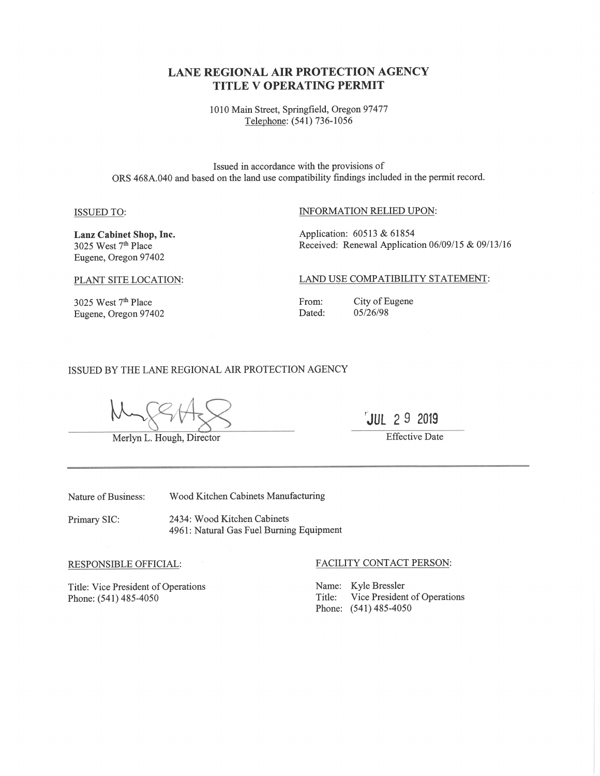# **LANE REGIONAL AIR PROTECTION AGENCY TITLE V OPERATING PERMIT**

1010 Main Street, Springfield, Oregon 97477 Telephone: (541) 736-1056

Issued in accordance with the provisions of ORS 468A.040 and based on the land use compatibility findings included in the permit record.

#### **ISSUED TO:**

### INFORMATION RELIED UPON:

Lanz Cabinet Shop, Inc. 3025 West 7<sup>th</sup> Place Eugene, Oregon 97402

Application: 60513 & 61854 Received: Renewal Application 06/09/15 & 09/13/16

#### PLANT SITE LOCATION:

3025 West $7^{\rm th}$ Place Eugene, Oregon 97402 LAND USE COMPATIBILITY STATEMENT:

From: Dated:

City of Eugene 05/26/98

#### ISSUED BY THE LANE REGIONAL AIR PROTECTION AGENCY

Merlyn L. Hough, Director

JUL 29 2019

**Effective Date** 

Nature of Business:

Wood Kitchen Cabinets Manufacturing

2434: Wood Kitchen Cabinets Primary SIC: 4961: Natural Gas Fuel Burning Equipment

#### RESPONSIBLE OFFICIAL:

Title: Vice President of Operations Phone: (541) 485-4050

#### FACILITY CONTACT PERSON:

Name: Kyle Bressler Vice President of Operations Title: Phone: (541) 485-4050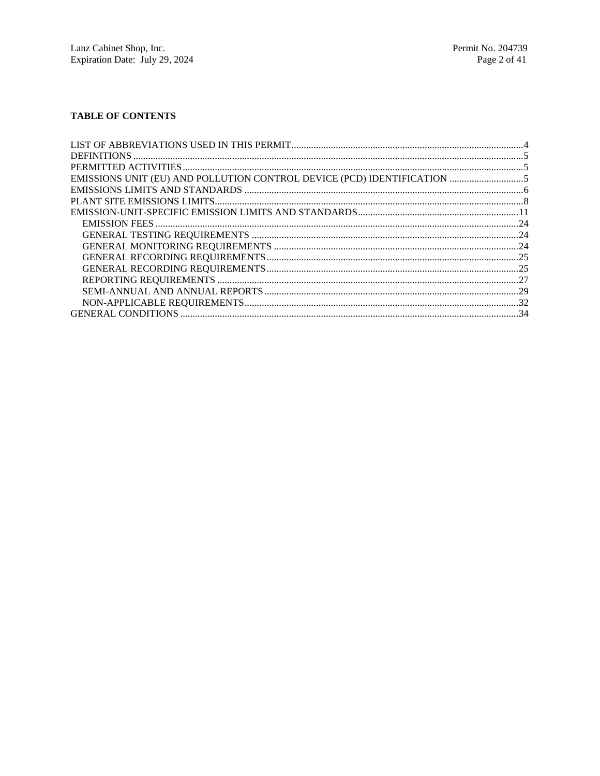# **TABLE OF CONTENTS**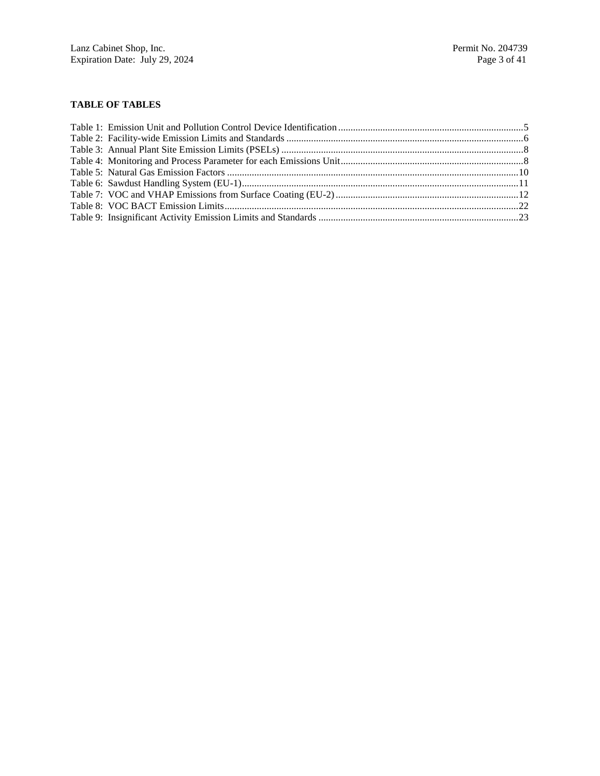# **TABLE OF TABLES**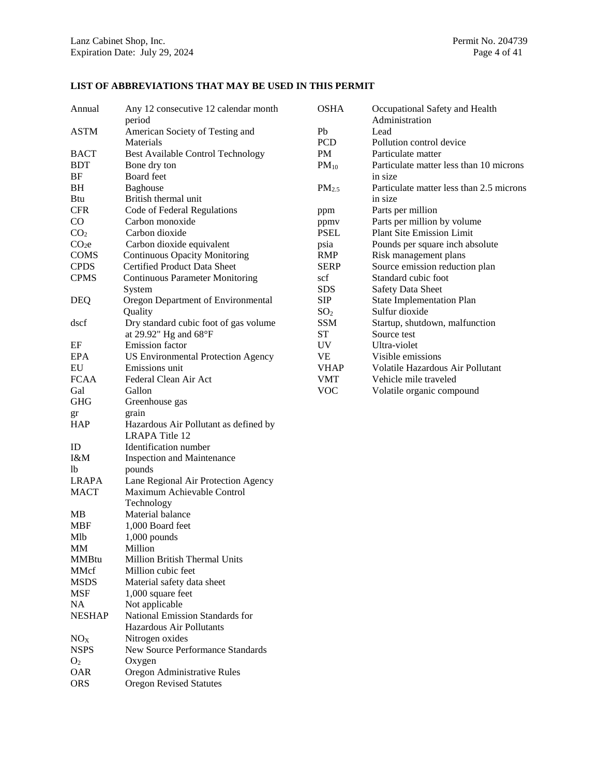### **LIST OF ABBREVIATIONS THAT MAY BE USED IN THIS PERMIT**

| Annual                         | Any 12 consecutive 12 calendar month                           | <b>OSHA</b>       | Occupational Safety and Health           |
|--------------------------------|----------------------------------------------------------------|-------------------|------------------------------------------|
|                                | period                                                         |                   | Administration                           |
| <b>ASTM</b>                    | American Society of Testing and                                | Pb                | Lead                                     |
|                                | Materials                                                      | PCD               | Pollution control device                 |
| <b>BACT</b>                    | <b>Best Available Control Technology</b>                       | PM                | Particulate matter                       |
| <b>BDT</b>                     | Bone dry ton                                                   | $PM_{10}$         | Particulate matter less than 10 microns  |
| BF                             | Board feet                                                     |                   | in size                                  |
| BH                             | <b>Baghouse</b>                                                | PM <sub>2.5</sub> | Particulate matter less than 2.5 microns |
| <b>Btu</b>                     | British thermal unit                                           |                   | in size                                  |
| <b>CFR</b>                     | Code of Federal Regulations                                    | ppm               | Parts per million                        |
| $\rm CO$                       | Carbon monoxide                                                | ppmy              | Parts per million by volume              |
| CO <sub>2</sub>                | Carbon dioxide                                                 | <b>PSEL</b>       | Plant Site Emission Limit                |
| CO <sub>2</sub> e              | Carbon dioxide equivalent                                      | psia              | Pounds per square inch absolute          |
| <b>COMS</b>                    | <b>Continuous Opacity Monitoring</b>                           | <b>RMP</b>        | Risk management plans                    |
| <b>CPDS</b>                    | Certified Product Data Sheet                                   | <b>SERP</b>       | Source emission reduction plan           |
| <b>CPMS</b>                    | <b>Continuous Parameter Monitoring</b>                         | scf               | Standard cubic foot                      |
|                                | System                                                         | <b>SDS</b>        | <b>Safety Data Sheet</b>                 |
| <b>DEQ</b>                     | Oregon Department of Environmental                             | <b>SIP</b>        | <b>State Implementation Plan</b>         |
|                                | Quality                                                        | SO <sub>2</sub>   | Sulfur dioxide                           |
| dscf                           | Dry standard cubic foot of gas volume                          | <b>SSM</b>        | Startup, shutdown, malfunction           |
|                                | at 29.92" Hg and $68^{\circ}F$                                 | <b>ST</b>         | Source test                              |
| EF                             | Emission factor                                                | <b>UV</b>         | Ultra-violet                             |
| <b>EPA</b>                     | <b>US Environmental Protection Agency</b>                      | <b>VE</b>         | Visible emissions                        |
| EU                             | Emissions unit                                                 | <b>VHAP</b>       | Volatile Hazardous Air Pollutant         |
| <b>FCAA</b>                    | Federal Clean Air Act                                          | <b>VMT</b>        | Vehicle mile traveled                    |
| Gal                            | Gallon                                                         | <b>VOC</b>        | Volatile organic compound                |
| <b>GHG</b>                     | Greenhouse gas                                                 |                   |                                          |
| gr                             | grain                                                          |                   |                                          |
| <b>HAP</b>                     | Hazardous Air Pollutant as defined by<br><b>LRAPA Title 12</b> |                   |                                          |
|                                |                                                                |                   |                                          |
| ID<br>I&M                      | Identification number                                          |                   |                                          |
| 1 <sub>b</sub>                 | <b>Inspection and Maintenance</b>                              |                   |                                          |
| <b>LRAPA</b>                   | pounds                                                         |                   |                                          |
|                                | Lane Regional Air Protection Agency                            |                   |                                          |
| <b>MACT</b>                    | Maximum Achievable Control                                     |                   |                                          |
|                                | Technology<br>Material balance                                 |                   |                                          |
| MB                             |                                                                |                   |                                          |
| <b>MBF</b>                     | 1,000 Board feet                                               |                   |                                          |
| Mlb                            | $1,000$ pounds                                                 |                   |                                          |
| MM                             | Million                                                        |                   |                                          |
| <b>MMBtu</b><br>MMcf           | <b>Million British Thermal Units</b><br>Million cubic feet     |                   |                                          |
| <b>MSDS</b>                    |                                                                |                   |                                          |
| <b>MSF</b>                     | Material safety data sheet                                     |                   |                                          |
| <b>NA</b>                      | 1,000 square feet                                              |                   |                                          |
| <b>NESHAP</b>                  | Not applicable                                                 |                   |                                          |
|                                | National Emission Standards for<br>Hazardous Air Pollutants    |                   |                                          |
|                                | Nitrogen oxides                                                |                   |                                          |
| NO <sub>X</sub><br><b>NSPS</b> | New Source Performance Standards                               |                   |                                          |
| O <sub>2</sub>                 |                                                                |                   |                                          |
| OAR                            | Oxygen<br>Oregon Administrative Rules                          |                   |                                          |
| <b>ORS</b>                     | <b>Oregon Revised Statutes</b>                                 |                   |                                          |
|                                |                                                                |                   |                                          |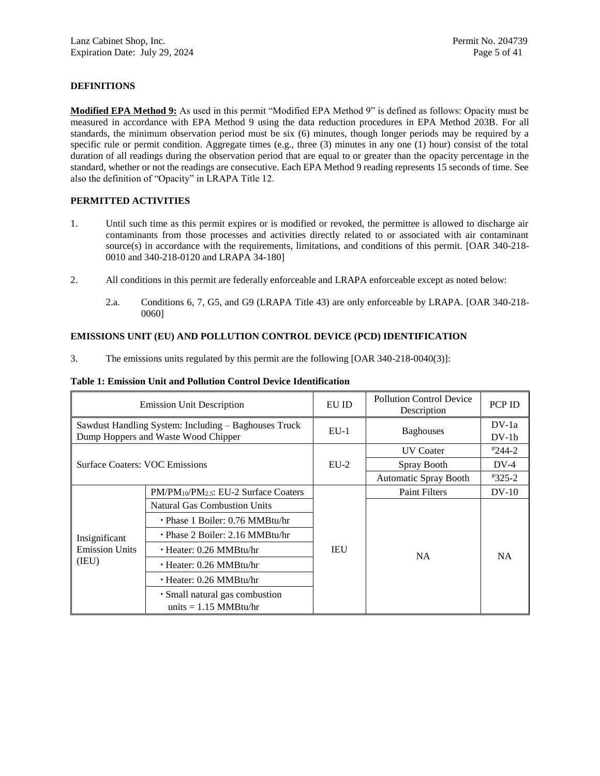# **DEFINITIONS**

**Modified EPA Method 9:** As used in this permit "Modified EPA Method 9" is defined as follows: Opacity must be measured in accordance with EPA Method 9 using the data reduction procedures in EPA Method 203B. For all standards, the minimum observation period must be six (6) minutes, though longer periods may be required by a specific rule or permit condition. Aggregate times (e.g., three  $(3)$  minutes in any one  $(1)$  hour) consist of the total duration of all readings during the observation period that are equal to or greater than the opacity percentage in the standard, whether or not the readings are consecutive. Each EPA Method 9 reading represents 15 seconds of time. See also the definition of "Opacity" in LRAPA Title 12.

# **PERMITTED ACTIVITIES**

- 1. Until such time as this permit expires or is modified or revoked, the permittee is allowed to discharge air contaminants from those processes and activities directly related to or associated with air contaminant source(s) in accordance with the requirements, limitations, and conditions of this permit. [OAR 340-218-0010 and 340-218-0120 and LRAPA 34-180]
- 2. All conditions in this permit are federally enforceable and LRAPA enforceable except as noted below:
	- 2.a. Conditions [6,](#page-6-0) [7,](#page-6-1) [G5,](#page-33-0) and [G9](#page-34-0) (LRAPA Title 43) are only enforceable by LRAPA. [OAR 340-218- 0060]

## **EMISSIONS UNIT (EU) AND POLLUTION CONTROL DEVICE (PCD) IDENTIFICATION**

3. The emissions units regulated by this permit are the following [OAR 340-218-0040(3)]:

### **Table 1: Emission Unit and Pollution Control Device Identification**

|                                       | <b>Emission Unit Description</b>                                                            | EU ID  | <b>Pollution Control Device</b><br>Description | <b>PCP ID</b>      |
|---------------------------------------|---------------------------------------------------------------------------------------------|--------|------------------------------------------------|--------------------|
|                                       | Sawdust Handling System: Including – Baghouses Truck<br>Dump Hoppers and Waste Wood Chipper | $EU-1$ | <b>Baghouses</b>                               | $DV-1a$<br>$DV-1b$ |
|                                       |                                                                                             |        | <b>UV</b> Coater                               | $*244-2$           |
| <b>Surface Coaters: VOC Emissions</b> |                                                                                             | $EU-2$ | Spray Booth                                    | $DV-4$             |
|                                       |                                                                                             |        | <b>Automatic Spray Booth</b>                   | $*325-2$           |
|                                       | $PM/PM_{10}/PM_{2.5}$ : EU-2 Surface Coaters                                                | IEU    | <b>Paint Filters</b>                           | $DV-10$            |
|                                       | <b>Natural Gas Combustion Units</b>                                                         |        |                                                | <b>NA</b>          |
|                                       | $\cdot$ Phase 1 Boiler: 0.76 MMBtu/hr                                                       |        |                                                |                    |
| Insignificant                         | $\cdot$ Phase 2 Boiler: 2.16 MMBtu/hr                                                       |        |                                                |                    |
| <b>Emission Units</b>                 | $\cdot$ Heater: 0.26 MMBtu/hr                                                               |        | <b>NA</b>                                      |                    |
| (IEU)                                 | $\cdot$ Heater: 0.26 MMBtu/hr                                                               |        |                                                |                    |
|                                       | $\cdot$ Heater: 0.26 MMBtu/hr                                                               |        |                                                |                    |
|                                       | · Small natural gas combustion<br>units $= 1.15$ MMBtu/hr                                   |        |                                                |                    |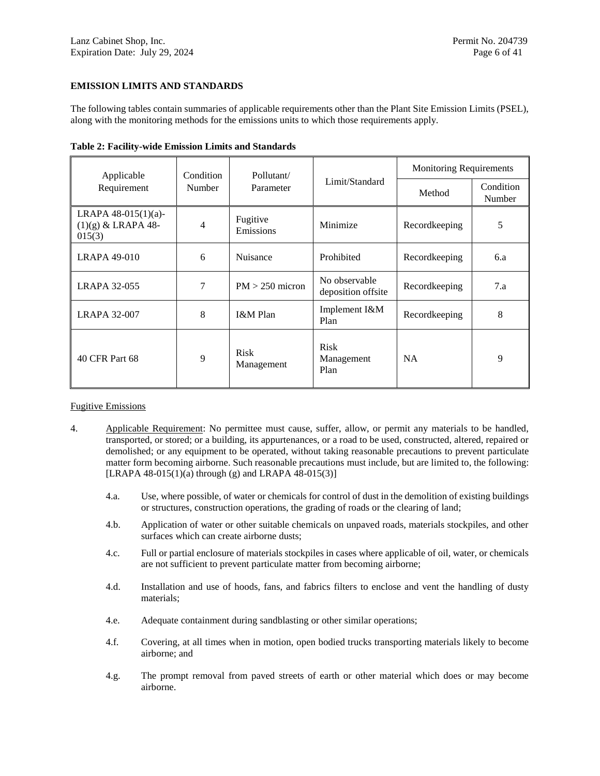### **EMISSION LIMITS AND STANDARDS**

The following tables contain summaries of applicable requirements other than the Plant Site Emission Limits (PSEL), along with the monitoring methods for the emissions units to which those requirements apply.

| Applicable                                               | Condition | Pollutant/                |                                     | <b>Monitoring Requirements</b> |                     |
|----------------------------------------------------------|-----------|---------------------------|-------------------------------------|--------------------------------|---------------------|
| Requirement                                              | Number    | Parameter                 | Limit/Standard                      | Method                         | Condition<br>Number |
| LRAPA $48-015(1)(a)$ -<br>$(1)(g)$ & LRAPA 48-<br>015(3) | 4         | Fugitive<br>Emissions     | Minimize                            | Recordkeeping                  | 5                   |
| LRAPA 49-010                                             | 6         | Nuisance                  | Prohibited                          | Recordkeeping                  | 6.a                 |
| <b>LRAPA 32-055</b>                                      | 7         | $PM > 250$ micron         | No observable<br>deposition offsite | Recordkeeping                  | 7.a                 |
| <b>LRAPA 32-007</b>                                      | 8         | I&M Plan                  | Implement I&M<br>Plan               | Recordkeeping                  | 8                   |
| 40 CFR Part 68                                           | 9         | <b>Risk</b><br>Management | <b>Risk</b><br>Management<br>Plan   | <b>NA</b>                      | 9                   |

**Table 2: Facility-wide Emission Limits and Standards**

### Fugitive Emissions

- <span id="page-5-2"></span><span id="page-5-1"></span><span id="page-5-0"></span>4. Applicable Requirement: No permittee must cause, suffer, allow, or permit any materials to be handled, transported, or stored; or a building, its appurtenances, or a road to be used, constructed, altered, repaired or demolished; or any equipment to be operated, without taking reasonable precautions to prevent particulate matter form becoming airborne. Such reasonable precautions must include, but are limited to, the following: [LRAPA 48-015(1)(a) through (g) and LRAPA 48-015(3)]
	- 4.a. Use, where possible, of water or chemicals for control of dust in the demolition of existing buildings or structures, construction operations, the grading of roads or the clearing of land;
	- 4.b. Application of water or other suitable chemicals on unpaved roads, materials stockpiles, and other surfaces which can create airborne dusts;
	- 4.c. Full or partial enclosure of materials stockpiles in cases where applicable of oil, water, or chemicals are not sufficient to prevent particulate matter from becoming airborne;
	- 4.d. Installation and use of hoods, fans, and fabrics filters to enclose and vent the handling of dusty materials;
	- 4.e. Adequate containment during sandblasting or other similar operations;
	- 4.f. Covering, at all times when in motion, open bodied trucks transporting materials likely to become airborne; and
	- 4.g. The prompt removal from paved streets of earth or other material which does or may become airborne.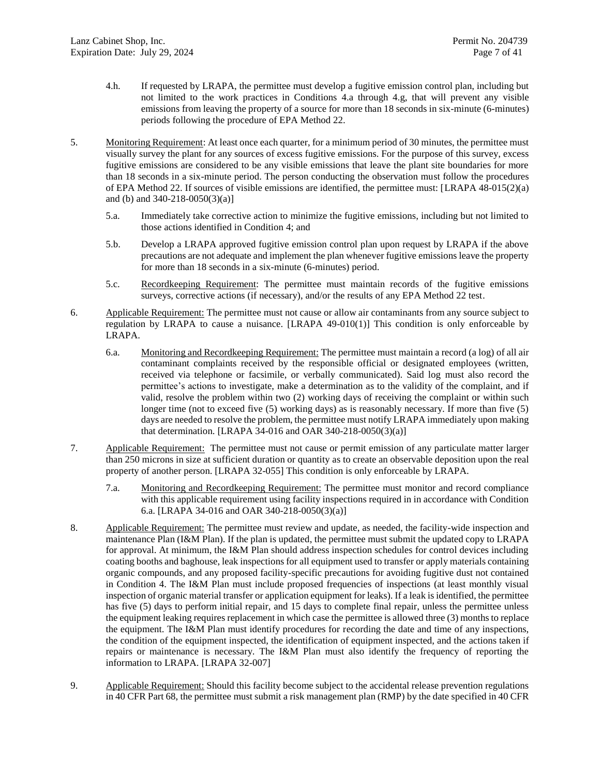- 4.h. If requested by LRAPA, the permittee must develop a fugitive emission control plan, including but not limited to the work practices in Conditions [4.a](#page-5-1) through [4.g,](#page-5-2) that will prevent any visible emissions from leaving the property of a source for more than 18 seconds in six-minute (6-minutes) periods following the procedure of EPA Method 22.
- <span id="page-6-7"></span><span id="page-6-2"></span>5. Monitoring Requirement: At least once each quarter, for a minimum period of 30 minutes, the permittee must visually survey the plant for any sources of excess fugitive emissions. For the purpose of this survey, excess fugitive emissions are considered to be any visible emissions that leave the plant site boundaries for more than 18 seconds in a six-minute period. The person conducting the observation must follow the procedures of EPA Method 22. If sources of visible emissions are identified, the permittee must: [LRAPA 48-015(2)(a) and (b) and 340-218-0050(3)(a)]
	- 5.a. Immediately take corrective action to minimize the fugitive emissions, including but not limited to those actions identified in Condition [4;](#page-5-0) and
	- 5.b. Develop a LRAPA approved fugitive emission control plan upon request by LRAPA if the above precautions are not adequate and implement the plan whenever fugitive emissions leave the property for more than 18 seconds in a six-minute (6-minutes) period.
	- 5.c. Recordkeeping Requirement: The permittee must maintain records of the fugitive emissions surveys, corrective actions (if necessary), and/or the results of any EPA Method 22 test.
- <span id="page-6-8"></span><span id="page-6-3"></span><span id="page-6-0"></span>6. Applicable Requirement: The permittee must not cause or allow air contaminants from any source subject to regulation by LRAPA to cause a nuisance. [LRAPA 49-010(1)] This condition is only enforceable by LRAPA.
	- 6.a. Monitoring and Recordkeeping Requirement: The permittee must maintain a record (a log) of all air contaminant complaints received by the responsible official or designated employees (written, received via telephone or facsimile, or verbally communicated). Said log must also record the permittee's actions to investigate, make a determination as to the validity of the complaint, and if valid, resolve the problem within two (2) working days of receiving the complaint or within such longer time (not to exceed five (5) working days) as is reasonably necessary. If more than five (5) days are needed to resolve the problem, the permittee must notify LRAPA immediately upon making that determination. [LRAPA 34-016 and OAR 340-218-0050(3)(a)]
- <span id="page-6-4"></span><span id="page-6-1"></span>7. Applicable Requirement: The permittee must not cause or permit emission of any particulate matter larger than 250 microns in size at sufficient duration or quantity as to create an observable deposition upon the real property of another person. [LRAPA 32-055] This condition is only enforceable by LRAPA.
	- 7.a. Monitoring and Recordkeeping Requirement: The permittee must monitor and record compliance with this applicable requirement using facility inspections required in in accordance with Condition [6.a.](#page-6-3) [LRAPA 34-016 and OAR 340-218-0050(3)(a)]
- <span id="page-6-5"></span>8. Applicable Requirement: The permittee must review and update, as needed, the facility-wide inspection and maintenance Plan (I&M Plan). If the plan is updated, the permittee must submit the updated copy to LRAPA for approval. At minimum, the I&M Plan should address inspection schedules for control devices including coating booths and baghouse, leak inspections for all equipment used to transfer or apply materials containing organic compounds, and any proposed facility-specific precautions for avoiding fugitive dust not contained in Condition 4. The I&M Plan must include proposed frequencies of inspections (at least monthly visual inspection of organic material transfer or application equipment for leaks). If a leak is identified, the permittee has five (5) days to perform initial repair, and 15 days to complete final repair, unless the permittee unless the equipment leaking requires replacement in which case the permittee is allowed three (3) months to replace the equipment. The I&M Plan must identify procedures for recording the date and time of any inspections, the condition of the equipment inspected, the identification of equipment inspected, and the actions taken if repairs or maintenance is necessary. The I&M Plan must also identify the frequency of reporting the information to LRAPA. [LRAPA 32-007]
- <span id="page-6-6"></span>9. Applicable Requirement: Should this facility become subject to the accidental release prevention regulations in 40 CFR Part 68, the permittee must submit a risk management plan (RMP) by the date specified in 40 CFR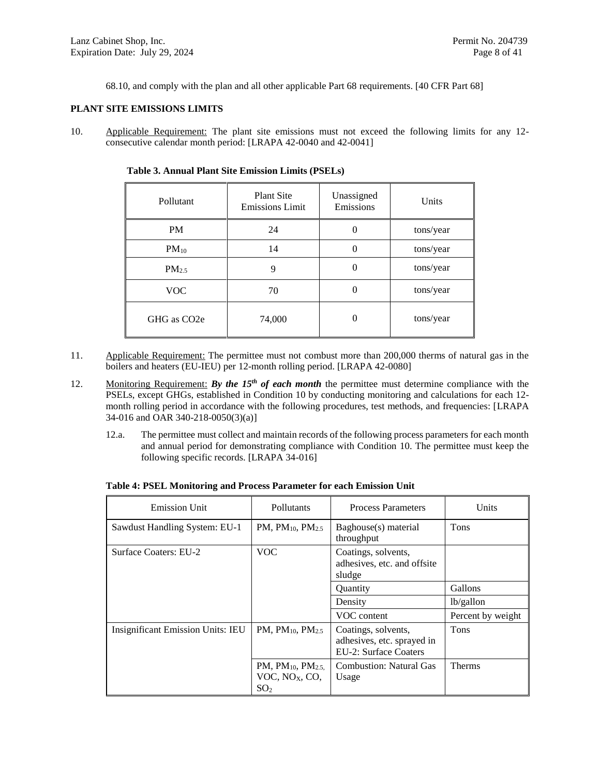68.10, and comply with the plan and all other applicable Part 68 requirements. [40 CFR Part 68]

### **PLANT SITE EMISSIONS LIMITS**

<span id="page-7-0"></span>10. Applicable Requirement: The plant site emissions must not exceed the following limits for any 12 consecutive calendar month period: [LRAPA 42-0040 and 42-0041]

| Pollutant                | <b>Plant Site</b><br><b>Emissions Limit</b> |          | Units     |
|--------------------------|---------------------------------------------|----------|-----------|
| <b>PM</b>                | 24                                          | $\theta$ | tons/year |
| $PM_{10}$                | 14                                          | $\theta$ | tons/year |
| PM <sub>2.5</sub>        | 9                                           | $\theta$ | tons/year |
| <b>VOC</b>               | 70                                          | $\theta$ | tons/year |
| GHG as CO <sub>2</sub> e | 74,000                                      | $\theta$ | tons/year |

**Table 3. Annual Plant Site Emission Limits (PSELs)**

- <span id="page-7-2"></span>11. Applicable Requirement: The permittee must not combust more than 200,000 therms of natural gas in the boilers and heaters (EU-IEU) per 12-month rolling period. [LRAPA 42-0080]
- <span id="page-7-3"></span><span id="page-7-1"></span>12. Monitoring Requirement: *By the 15<sup>th</sup> of each month* the permittee must determine compliance with the PSELs, except GHGs, established in Condition [10](#page-7-0) by conducting monitoring and calculations for each 12 month rolling period in accordance with the following procedures, test methods, and frequencies: [LRAPA 34-016 and OAR 340-218-0050(3)(a)]
	- 12.a. The permittee must collect and maintain records of the following process parameters for each month and annual period for demonstrating compliance with Condition [10.](#page-7-0) The permittee must keep the following specific records. [LRAPA 34-016]

| <b>Emission Unit</b>              | Pollutants                                                        | <b>Process Parameters</b>                                                         | Units             |
|-----------------------------------|-------------------------------------------------------------------|-----------------------------------------------------------------------------------|-------------------|
| Sawdust Handling System: EU-1     | PM, $PM_{10}$ , $PM_{2.5}$                                        | Baghouse(s) material<br>throughput                                                | <b>Tons</b>       |
| Surface Coaters: EU-2             | <b>VOC</b>                                                        | Coatings, solvents,<br>adhesives, etc. and offsite<br>sludge                      |                   |
|                                   |                                                                   | Quantity                                                                          | Gallons           |
|                                   |                                                                   | Density                                                                           | lb/gallon         |
|                                   |                                                                   | VOC content                                                                       | Percent by weight |
| Insignificant Emission Units: IEU | PM, $PM_{10}$ , $PM_{25}$                                         | Coatings, solvents,<br>adhesives, etc. sprayed in<br><b>EU-2: Surface Coaters</b> | <b>Tons</b>       |
|                                   | PM, $PM_{10}$ , $PM_{2.5}$<br>VOC, $NOX$ , CO,<br>SO <sub>2</sub> | <b>Combustion: Natural Gas</b><br>Usage                                           | <b>Therms</b>     |

**Table 4: PSEL Monitoring and Process Parameter for each Emission Unit**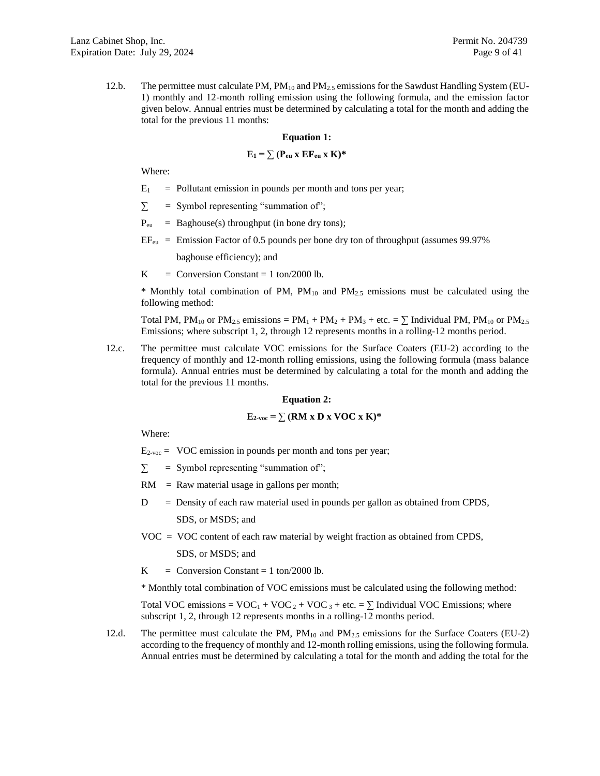12.b. The permittee must calculate PM, PM<sub>10</sub> and PM<sub>2.5</sub> emissions for the Sawdust Handling System (EU-1) monthly and 12-month rolling emission using the following formula, and the emission factor given below. Annual entries must be determined by calculating a total for the month and adding the total for the previous 11 months:

#### **Equation 1:**

### $\mathbf{E}_1 = \sum (\mathbf{P}_{\text{eu}} \times \mathbf{E} \mathbf{F}_{\text{eu}} \times \mathbf{K})^*$

Where:

- $E_1$  = Pollutant emission in pounds per month and tons per year;
- $\Sigma$  = Symbol representing "summation of";
- $P_{eu}$  = Baghouse(s) throughput (in bone dry tons);
- $EF_{\text{eu}}$  = Emission Factor of 0.5 pounds per bone dry ton of throughput (assumes 99.97%) baghouse efficiency); and
- K = Conversion Constant = 1 ton/2000 lb.

\* Monthly total combination of PM,  $PM_{10}$  and  $PM_{2.5}$  emissions must be calculated using the following method:

Total PM, PM<sub>10</sub> or PM<sub>2.5</sub> emissions = PM<sub>1</sub> + PM<sub>2</sub> + PM<sub>3</sub> + etc. =  $\Sigma$  Individual PM, PM<sub>10</sub> or PM<sub>2.5</sub> Emissions; where subscript 1, 2, through 12 represents months in a rolling-12 months period.

12.c. The permittee must calculate VOC emissions for the Surface Coaters (EU-2) according to the frequency of monthly and 12-month rolling emissions, using the following formula (mass balance formula). Annual entries must be determined by calculating a total for the month and adding the total for the previous 11 months.

### **Equation 2:**

# $E_{2\text{-}vac} = \sum (\textbf{RM} \times \textbf{D} \times \textbf{VOC} \times \textbf{K})^*$

Where:

 $E_{2\text{-}voc}$  = VOC emission in pounds per month and tons per year;

- $\Sigma$  = Symbol representing "summation of";
- $RM$  = Raw material usage in gallons per month;
- $D =$  Density of each raw material used in pounds per gallon as obtained from CPDS,

SDS, or MSDS; and

VOC = VOC content of each raw material by weight fraction as obtained from CPDS,

SDS, or MSDS; and

K = Conversion Constant = 1 ton/2000 lb.

\* Monthly total combination of VOC emissions must be calculated using the following method:

Total VOC emissions =  $VOC_1 + VOC_2 + VOC_3 +$  etc. =  $\Sigma$  Individual VOC Emissions; where subscript 1, 2, through 12 represents months in a rolling-12 months period.

12.d. The permittee must calculate the PM,  $PM_{10}$  and  $PM_{2.5}$  emissions for the Surface Coaters (EU-2) according to the frequency of monthly and 12-month rolling emissions, using the following formula. Annual entries must be determined by calculating a total for the month and adding the total for the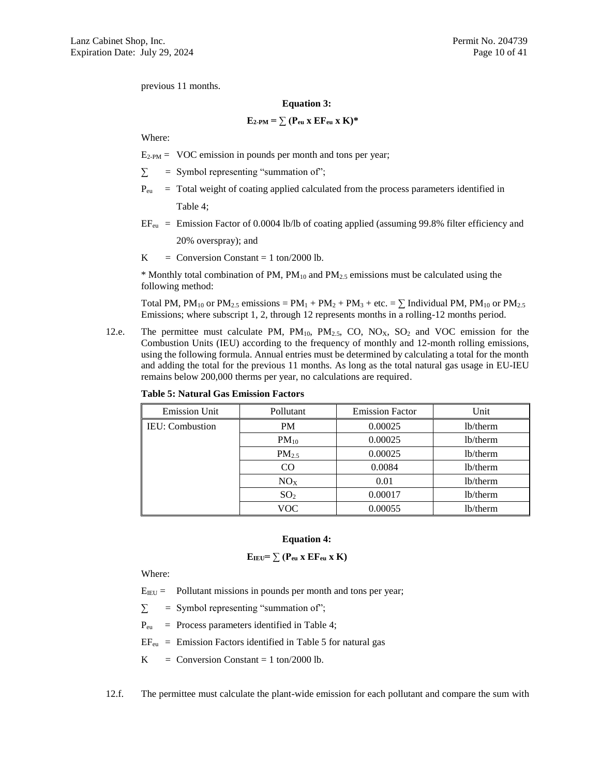previous 11 months.

#### **Equation 3:**

$$
E_{2\text{-PM}} = \sum (P_{eu} x \ E F_{eu} x \ K)^*
$$

Where:

 $E_{2-PM}$  = VOC emission in pounds per month and tons per year;

 $\Sigma$  = Symbol representing "summation of";

- $P_{eu}$  = Total weight of coating applied calculated from the process parameters identified in Table 4;
- $EF_{\text{eu}}$  = Emission Factor of 0.0004 lb/lb of coating applied (assuming 99.8% filter efficiency and

20% overspray); and

K = Conversion Constant = 1 ton/2000 lb.

 $*$  Monthly total combination of PM, PM<sub>10</sub> and PM<sub>2.5</sub> emissions must be calculated using the following method:

Total PM,  $PM_{10}$  or  $PM_{2.5}$  emissions =  $PM_1 + PM_2 + PM_3 +$  etc. =  $\Sigma$  Individual PM,  $PM_{10}$  or  $PM_{2.5}$ Emissions; where subscript 1, 2, through 12 represents months in a rolling-12 months period.

12.e. The permittee must calculate PM,  $PM_{10}$ ,  $PM_{2.5}$ , CO,  $NO_X$ , SO<sub>2</sub> and VOC emission for the Combustion Units (IEU) according to the frequency of monthly and 12-month rolling emissions, using the following formula. Annual entries must be determined by calculating a total for the month and adding the total for the previous 11 months. As long as the total natural gas usage in EU-IEU remains below 200,000 therms per year, no calculations are required.

| <b>Emission Unit</b>   | Pollutant         | <b>Emission Factor</b> | Unit                  |
|------------------------|-------------------|------------------------|-----------------------|
| <b>IEU:</b> Combustion | <b>PM</b>         | 0.00025                | 1 <sub>b</sub> /therm |
|                        | $PM_{10}$         | 0.00025                | lb/therm              |
|                        | PM <sub>2.5</sub> | 0.00025                | 1 <sub>b</sub> /therm |
|                        | CO                | 0.0084                 | 1 <sub>b</sub> /therm |
|                        | NO <sub>X</sub>   | 0.01                   | lb/therm              |
|                        | SO <sub>2</sub>   | 0.00017                | lb/therm              |
|                        | VOC               | 0.00055                | lb/therm              |

**Table 5: Natural Gas Emission Factors**

### **Equation 4:**

$$
E_{IEU} = \sum (P_{eu} x EF_{eu} x K)
$$

Where:

 $E_{IEU}$  = Pollutant missions in pounds per month and tons per year;

 $\Sigma$  = Symbol representing "summation of";

Peu = Process parameters identified in Table 4;

 $EF_{\text{eu}}$  = Emission Factors identified in Table 5 for natural gas

 $K =$  Conversion Constant = 1 ton/2000 lb.

12.f. The permittee must calculate the plant-wide emission for each pollutant and compare the sum with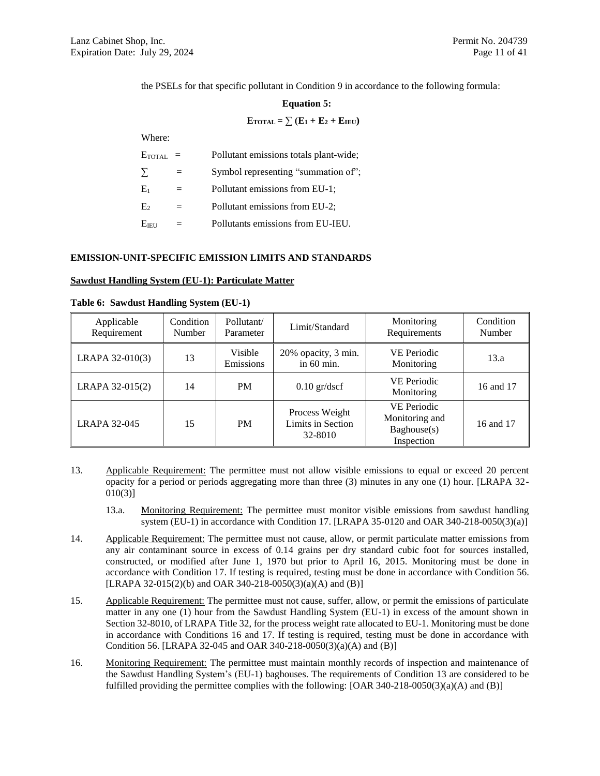the PSELs for that specific pollutant in Conditio[n 9](#page-6-6) in accordance to the following formula:

#### **Equation 5:**

 $\textbf{E}_{\text{TOTAL}} = \sum (\textbf{E}_1 + \textbf{E}_2 + \textbf{E}_{\text{IEU}})$ 

Where:

| ETOTAL            | $=$ | Pollutant emissions totals plant-wide; |
|-------------------|-----|----------------------------------------|
| $\sum$            | $=$ | Symbol representing "summation of";    |
| $E_1$             | $=$ | Pollutant emissions from EU-1;         |
| E <sub>2</sub>    | $=$ | Pollutant emissions from EU-2;         |
| E <sub>IEII</sub> |     | Pollutants emissions from EU-IEU.      |

### **EMISSION-UNIT-SPECIFIC EMISSION LIMITS AND STANDARDS**

#### **Sawdust Handling System (EU-1): Particulate Matter**

| Applicable<br>Requirement | Condition<br><b>Number</b> | Pollutant/<br>Parameter | Limit/Standard                                 | Monitoring<br>Requirements                                        | Condition<br>Number |
|---------------------------|----------------------------|-------------------------|------------------------------------------------|-------------------------------------------------------------------|---------------------|
| LRAPA 32-010(3)           | 13                         | Visible<br>Emissions    | 20% opacity, 3 min.<br>in 60 min.              | <b>VE Periodic</b><br>Monitoring                                  | 13.a                |
| LRAPA 32-015(2)           | 14                         | <b>PM</b>               | $0.10$ gr/dscf                                 | <b>VE Periodic</b><br>Monitoring                                  | 16 and 17           |
| <b>LRAPA 32-045</b>       | 15                         | <b>PM</b>               | Process Weight<br>Limits in Section<br>32-8010 | <b>VE Periodic</b><br>Monitoring and<br>Baghouse(s)<br>Inspection | 16 and 17           |

|  |  | Table 6: Sawdust Handling System (EU-1) |  |  |
|--|--|-----------------------------------------|--|--|
|--|--|-----------------------------------------|--|--|

- <span id="page-10-0"></span>13. Applicable Requirement: The permittee must not allow visible emissions to equal or exceed 20 percent opacity for a period or periods aggregating more than three (3) minutes in any one (1) hour. [LRAPA 32- 010(3)]
	- 13.a. Monitoring Requirement: The permittee must monitor visible emissions from sawdust handling system (EU-1) in accordance with Condition [17.](#page-11-0) [LRAPA 35-0120 and OAR 340-218-0050(3)(a)]
- <span id="page-10-2"></span><span id="page-10-1"></span>14. Applicable Requirement: The permittee must not cause, allow, or permit particulate matter emissions from any air contaminant source in excess of 0.14 grains per dry standard cubic foot for sources installed, constructed, or modified after June 1, 1970 but prior to April 16, 2015. Monitoring must be done in accordance with Condition [17.](#page-11-0) If testing is required, testing must be done in accordance with Condition [56.](#page-23-0) [LRAPA 32-015(2)(b) and OAR 340-218-0050(3)(a)(A) and (B)]
- <span id="page-10-4"></span>15. Applicable Requirement: The permittee must not cause, suffer, allow, or permit the emissions of particulate matter in any one (1) hour from the Sawdust Handling System (EU-1) in excess of the amount shown in Section 32-8010, of LRAPA Title 32, for the process weight rate allocated to EU-1. Monitoring must be done in accordance with Conditions [16](#page-10-3) and [17.](#page-11-0) If testing is required, testing must be done in accordance with Condition [56.](#page-23-0) [LRAPA 32-045 and OAR 340-218-0050(3)(a)(A) and (B)]
- <span id="page-10-3"></span>16. Monitoring Requirement: The permittee must maintain monthly records of inspection and maintenance of the Sawdust Handling System's (EU-1) baghouses. The requirements of Condition [13](#page-10-0) are considered to be fulfilled providing the permittee complies with the following: [OAR 340-218-0050(3)(a)(A) and (B)]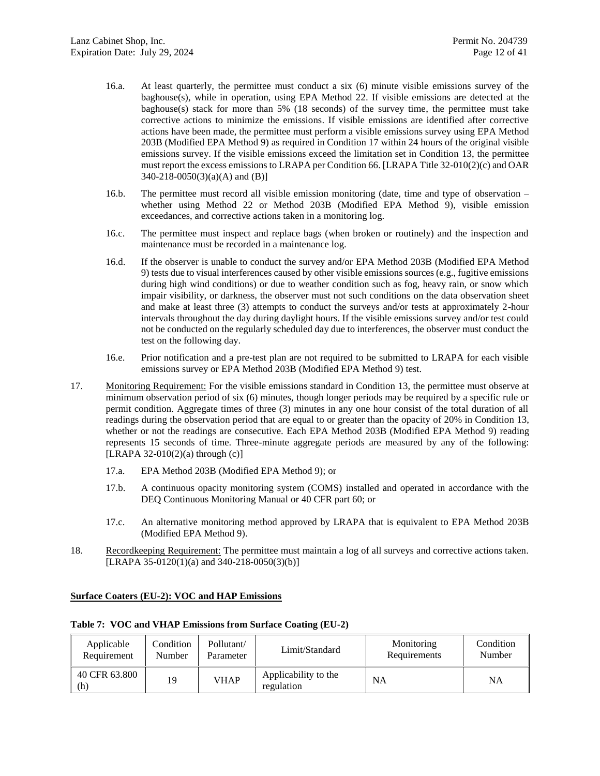- 16.a. At least quarterly, the permittee must conduct a six (6) minute visible emissions survey of the baghouse(s), while in operation, using EPA Method 22. If visible emissions are detected at the baghouse(s) stack for more than 5% (18 seconds) of the survey time, the permittee must take corrective actions to minimize the emissions. If visible emissions are identified after corrective actions have been made, the permittee must perform a visible emissions survey using EPA Method 203B (Modified EPA Method 9) as required in Condition [17](#page-11-0) within 24 hours of the original visible emissions survey. If the visible emissions exceed the limitation set in Condition [13,](#page-10-0) the permittee must report the excess emissions to LRAPA per Condition [66.](#page-26-0) [LRAPA Title 32-010(2)(c) and OAR 340-218-0050(3)(a)(A) and (B)]
- <span id="page-11-2"></span>16.b. The permittee must record all visible emission monitoring (date, time and type of observation – whether using Method 22 or Method 203B (Modified EPA Method 9), visible emission exceedances, and corrective actions taken in a monitoring log.
- 16.c. The permittee must inspect and replace bags (when broken or routinely) and the inspection and maintenance must be recorded in a maintenance log.
- 16.d. If the observer is unable to conduct the survey and/or EPA Method 203B (Modified EPA Method 9) tests due to visual interferences caused by other visible emissions sources (e.g., fugitive emissions during high wind conditions) or due to weather condition such as fog, heavy rain, or snow which impair visibility, or darkness, the observer must not such conditions on the data observation sheet and make at least three (3) attempts to conduct the surveys and/or tests at approximately 2-hour intervals throughout the day during daylight hours. If the visible emissions survey and/or test could not be conducted on the regularly scheduled day due to interferences, the observer must conduct the test on the following day.
- 16.e. Prior notification and a pre-test plan are not required to be submitted to LRAPA for each visible emissions survey or EPA Method 203B (Modified EPA Method 9) test.
- <span id="page-11-0"></span>17. Monitoring Requirement: For the visible emissions standard in Condition [13,](#page-10-0) the permittee must observe at minimum observation period of six (6) minutes, though longer periods may be required by a specific rule or permit condition. Aggregate times of three (3) minutes in any one hour consist of the total duration of all readings during the observation period that are equal to or greater than the opacity of 20% in Condition [13,](#page-10-0) whether or not the readings are consecutive. Each EPA Method 203B (Modified EPA Method 9) reading represents 15 seconds of time. Three-minute aggregate periods are measured by any of the following: [LRAPA 32-010(2)(a) through  $(c)$ ]
	- 17.a. EPA Method 203B (Modified EPA Method 9); or
	- 17.b. A continuous opacity monitoring system (COMS) installed and operated in accordance with the DEQ Continuous Monitoring Manual or 40 CFR part 60; or
	- 17.c. An alternative monitoring method approved by LRAPA that is equivalent to EPA Method 203B (Modified EPA Method 9).
- <span id="page-11-1"></span>18. Recordkeeping Requirement: The permittee must maintain a log of all surveys and corrective actions taken. [LRAPA 35-0120(1)(a) and 340-218-0050(3)(b)]

### **Surface Coaters (EU-2): VOC and HAP Emissions**

| Applicable<br>Requirement | Condition<br>Number | Pollutant/<br>Parameter | Limit/Standard                     | Monitoring<br>Requirements | Condition<br>Number |
|---------------------------|---------------------|-------------------------|------------------------------------|----------------------------|---------------------|
| 40 CFR 63.800<br>(h)      | 19                  | <b>VHAP</b>             | Applicability to the<br>regulation | <b>NA</b>                  | NA                  |

#### **Table 7: VOC and VHAP Emissions from Surface Coating (EU-2)**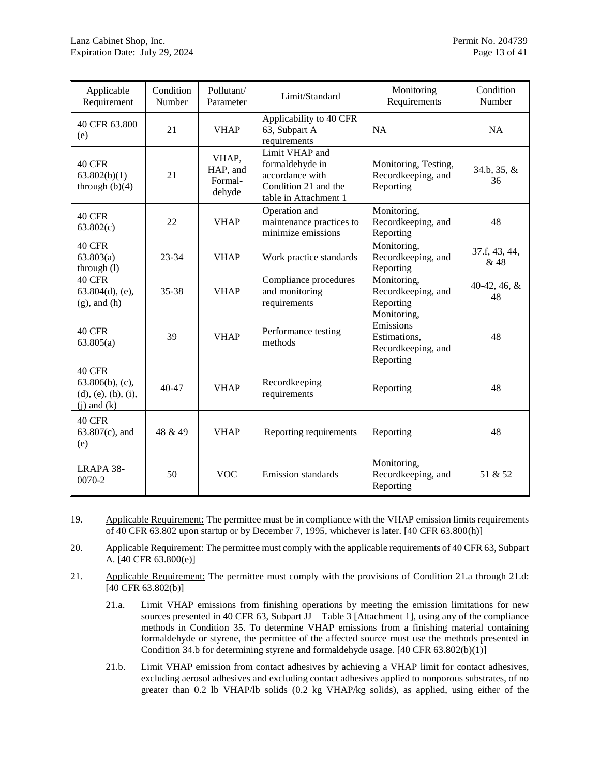| Applicable<br>Requirement                                              | Condition<br>Number | Pollutant/<br>Parameter                | Limit/Standard                                                                                        | Monitoring<br>Requirements                                                  | Condition<br>Number   |
|------------------------------------------------------------------------|---------------------|----------------------------------------|-------------------------------------------------------------------------------------------------------|-----------------------------------------------------------------------------|-----------------------|
| 40 CFR 63.800<br>(e)                                                   | 21                  | <b>VHAP</b>                            | Applicability to 40 CFR<br>63, Subpart A<br>requirements                                              | NA                                                                          | <b>NA</b>             |
| <b>40 CFR</b><br>63.802(b)(1)<br>through $(b)(4)$                      | 21                  | VHAP,<br>HAP, and<br>Formal-<br>dehyde | Limit VHAP and<br>formaldehyde in<br>accordance with<br>Condition 21 and the<br>table in Attachment 1 | Monitoring, Testing,<br>Recordkeeping, and<br>Reporting                     | 34.b, 35, &<br>36     |
| <b>40 CFR</b><br>63.802(c)                                             | 22                  | <b>VHAP</b>                            | Operation and<br>maintenance practices to<br>minimize emissions                                       | Monitoring,<br>Recordkeeping, and<br>Reporting                              | 48                    |
| 40 CFR<br>63.803(a)<br>through (l)                                     | $23 - 34$           | <b>VHAP</b>                            | Work practice standards                                                                               | Monitoring,<br>Recordkeeping, and<br>Reporting                              | 37.f, 43, 44,<br>& 48 |
| <b>40 CFR</b><br>$63.804(d)$ , (e),<br>$(g)$ , and $(h)$               | 35-38               | <b>VHAP</b>                            | Compliance procedures<br>and monitoring<br>requirements                                               | Monitoring,<br>Recordkeeping, and<br>Reporting                              | 40-42, 46, $&$<br>48  |
| <b>40 CFR</b><br>63.805(a)                                             | 39                  | <b>VHAP</b>                            | Performance testing<br>methods                                                                        | Monitoring,<br>Emissions<br>Estimations,<br>Recordkeeping, and<br>Reporting | 48                    |
| 40 CFR<br>$63.806(b)$ , (c),<br>(d), (e), (h), (i),<br>$(j)$ and $(k)$ | $40 - 47$           | <b>VHAP</b>                            | Recordkeeping<br>requirements                                                                         | Reporting                                                                   | 48                    |
| <b>40 CFR</b><br>$63.807(c)$ , and<br>(e)                              | 48 & 49             | <b>VHAP</b>                            | Reporting requirements                                                                                | Reporting                                                                   | 48                    |
| LRAPA 38-<br>$0070 - 2$                                                | 50                  | <b>VOC</b>                             | <b>Emission standards</b>                                                                             | Monitoring,<br>Recordkeeping, and<br>Reporting                              | 51 & 52               |

- <span id="page-12-0"></span>19. Applicable Requirement: The permittee must be in compliance with the VHAP emission limits requirements of 40 CFR 63.802 upon startup or by December 7, 1995, whichever is later. [40 CFR 63.800(h)]
- 20. Applicable Requirement: The permittee must comply with the applicable requirements of 40 CFR 63, Subpart A. [40 CFR 63.800(e)]
- <span id="page-12-3"></span><span id="page-12-2"></span><span id="page-12-1"></span>21. Applicable Requirement: The permittee must comply with the provisions of Condition [21.a](#page-12-2) through [21.d:](#page-13-2) [40 CFR 63.802(b)]
	- 21.a. Limit VHAP emissions from finishing operations by meeting the emission limitations for new sources presented in 40 CFR 63, Subpart  $JJ - Table 3$  [Attachment 1], using any of the compliance methods in Condition [35.](#page-15-1) To determine VHAP emissions from a finishing material containing formaldehyde or styrene, the permittee of the affected source must use the methods presented in Condition [34.b](#page-15-0) for determining styrene and formaldehyde usage. [40 CFR 63.802(b)(1)]
	- 21.b. Limit VHAP emission from contact adhesives by achieving a VHAP limit for contact adhesives, excluding aerosol adhesives and excluding contact adhesives applied to nonporous substrates, of no greater than 0.2 lb VHAP/lb solids (0.2 kg VHAP/kg solids), as applied, using either of the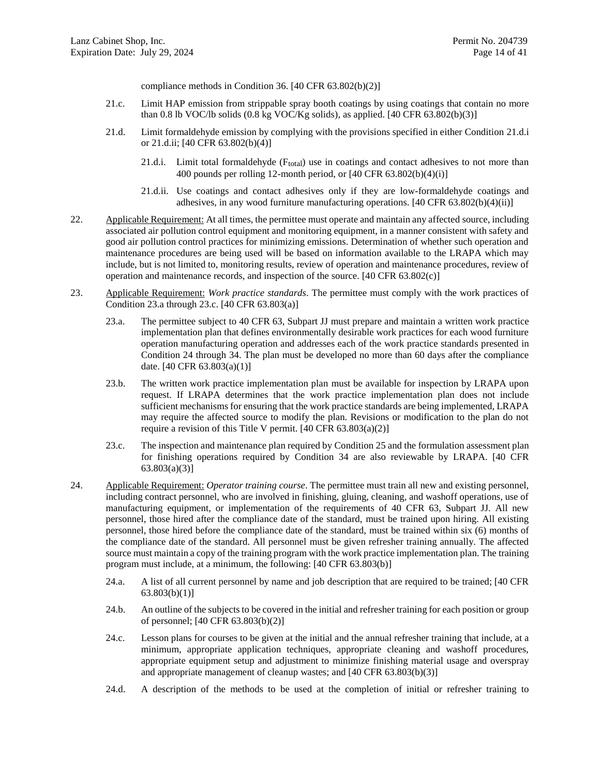compliance methods in Condition [36.](#page-16-0) [40 CFR 63.802(b)(2)]

- <span id="page-13-8"></span>21.c. Limit HAP emission from strippable spray booth coatings by using coatings that contain no more than 0.8 lb VOC/lb solids  $(0.8 \text{ kg } \text{VOC/Kg}$  solids), as applied. [40 CFR 63.802(b)(3)]
- <span id="page-13-3"></span><span id="page-13-2"></span>21.d. Limit formaldehyde emission by complying with the provisions specified in either Condition [21.d.i](#page-13-3) or [21.d.ii;](#page-13-4) [40 CFR 63.802(b)(4)]
	- 21.d.i. Limit total formaldehyde (Ftotal) use in coatings and contact adhesives to not more than 400 pounds per rolling 12-month period, or  $[40 \text{ CFR } 63.802(b)(4)(i)]$
	- 21.d.ii. Use coatings and contact adhesives only if they are low-formaldehyde coatings and adhesives, in any wood furniture manufacturing operations. [40 CFR 63.802(b)(4)(ii)]
- <span id="page-13-4"></span><span id="page-13-0"></span>22. Applicable Requirement: At all times, the permittee must operate and maintain any affected source, including associated air pollution control equipment and monitoring equipment, in a manner consistent with safety and good air pollution control practices for minimizing emissions. Determination of whether such operation and maintenance procedures are being used will be based on information available to the LRAPA which may include, but is not limited to, monitoring results, review of operation and maintenance procedures, review of operation and maintenance records, and inspection of the source. [40 CFR 63.802(c)]
- <span id="page-13-5"></span><span id="page-13-1"></span>23. Applicable Requirement: *Work practice standards*. The permittee must comply with the work practices of Condition [23.a](#page-13-5) through [23.c.](#page-13-6) [40 CFR 63.803(a)]
	- 23.a. The permittee subject to 40 CFR 63, Subpart JJ must prepare and maintain a written work practice implementation plan that defines environmentally desirable work practices for each wood furniture operation manufacturing operation and addresses each of the work practice standards presented in Condition [24](#page-13-7) through [34.](#page-15-2) The plan must be developed no more than 60 days after the compliance date. [40 CFR 63.803(a)(1)]
	- 23.b. The written work practice implementation plan must be available for inspection by LRAPA upon request. If LRAPA determines that the work practice implementation plan does not include sufficient mechanisms for ensuring that the work practice standards are being implemented, LRAPA may require the affected source to modify the plan. Revisions or modification to the plan do not require a revision of this Title V permit. [40 CFR 63.803(a)(2)]
	- 23.c. The inspection and maintenance plan required by Condition [25](#page-14-0) and the formulation assessment plan for finishing operations required by Condition [34](#page-15-2) are also reviewable by LRAPA. [40 CFR 63.803(a)(3)]
- <span id="page-13-7"></span><span id="page-13-6"></span>24. Applicable Requirement: *Operator training course*. The permittee must train all new and existing personnel, including contract personnel, who are involved in finishing, gluing, cleaning, and washoff operations, use of manufacturing equipment, or implementation of the requirements of 40 CFR 63, Subpart JJ. All new personnel, those hired after the compliance date of the standard, must be trained upon hiring. All existing personnel, those hired before the compliance date of the standard, must be trained within six (6) months of the compliance date of the standard. All personnel must be given refresher training annually. The affected source must maintain a copy of the training program with the work practice implementation plan. The training program must include, at a minimum, the following: [40 CFR 63.803(b)]
	- 24.a. A list of all current personnel by name and job description that are required to be trained; [40 CFR 63.803(b)(1)]
	- 24.b. An outline of the subjects to be covered in the initial and refresher training for each position or group of personnel; [40 CFR 63.803(b)(2)]
	- 24.c. Lesson plans for courses to be given at the initial and the annual refresher training that include, at a minimum, appropriate application techniques, appropriate cleaning and washoff procedures, appropriate equipment setup and adjustment to minimize finishing material usage and overspray and appropriate management of cleanup wastes; and [40 CFR 63.803(b)(3)]
	- 24.d. A description of the methods to be used at the completion of initial or refresher training to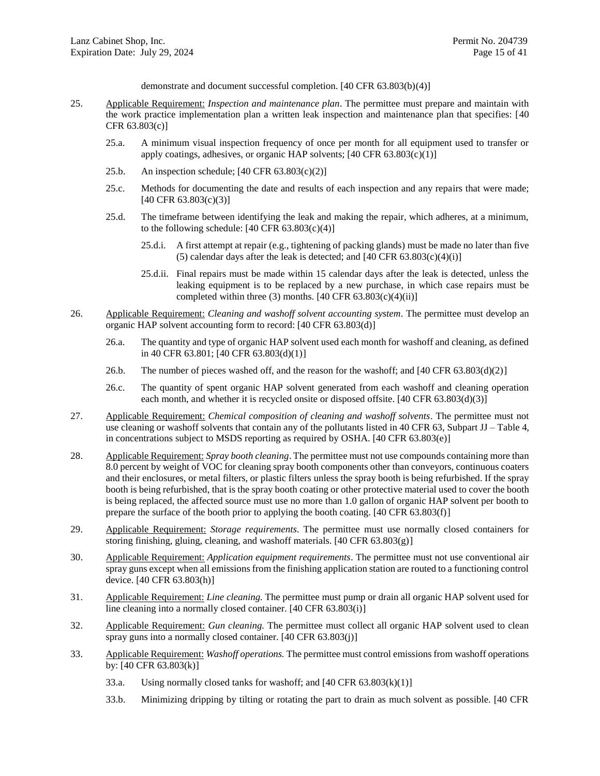demonstrate and document successful completion. [40 CFR 63.803(b)(4)]

- <span id="page-14-0"></span>25. Applicable Requirement: *Inspection and maintenance plan*. The permittee must prepare and maintain with the work practice implementation plan a written leak inspection and maintenance plan that specifies: [40 CFR 63.803(c)]
	- 25.a. A minimum visual inspection frequency of once per month for all equipment used to transfer or apply coatings, adhesives, or organic HAP solvents;  $[40 \text{ CFR } 63.803(c)(1)]$
	- 25.b. An inspection schedule;  $[40 \text{ CFR } 63.803(c)(2)]$
	- 25.c. Methods for documenting the date and results of each inspection and any repairs that were made; [40 CFR 63.803(c)(3)]
	- 25.d. The timeframe between identifying the leak and making the repair, which adheres, at a minimum, to the following schedule:  $[40 \text{ CFR } 63.803(c)(4)]$ 
		- 25.d.i. A first attempt at repair (e.g., tightening of packing glands) must be made no later than five (5) calendar days after the leak is detected; and  $[40 \text{ CFR } 63.803(c)(4)(i)]$
		- 25.d.ii. Final repairs must be made within 15 calendar days after the leak is detected, unless the leaking equipment is to be replaced by a new purchase, in which case repairs must be completed within three  $(3)$  months. [40 CFR 63.803 $(c)(4)(ii)$ ]
- <span id="page-14-1"></span>26. Applicable Requirement: *Cleaning and washoff solvent accounting system*. The permittee must develop an organic HAP solvent accounting form to record: [40 CFR 63.803(d)]
	- 26.a. The quantity and type of organic HAP solvent used each month for washoff and cleaning, as defined in 40 CFR 63.801; [40 CFR 63.803(d)(1)]
	- 26.b. The number of pieces washed off, and the reason for the washoff; and [40 CFR 63.803(d)(2)]
	- 26.c. The quantity of spent organic HAP solvent generated from each washoff and cleaning operation each month, and whether it is recycled onsite or disposed offsite. [40 CFR 63.803(d)(3)]
- <span id="page-14-2"></span>27. Applicable Requirement: *Chemical composition of cleaning and washoff solvents*. The permittee must not use cleaning or washoff solvents that contain any of the pollutants listed in 40 CFR 63, Subpart JJ – Table 4, in concentrations subject to MSDS reporting as required by OSHA. [40 CFR 63.803(e)]
- <span id="page-14-3"></span>28. Applicable Requirement: *Spray booth cleaning*. The permittee must not use compounds containing more than 8.0 percent by weight of VOC for cleaning spray booth components other than conveyors, continuous coaters and their enclosures, or metal filters, or plastic filters unless the spray booth is being refurbished. If the spray booth is being refurbished, that is the spray booth coating or other protective material used to cover the booth is being replaced, the affected source must use no more than 1.0 gallon of organic HAP solvent per booth to prepare the surface of the booth prior to applying the booth coating. [40 CFR 63.803(f)]
- <span id="page-14-4"></span>29. Applicable Requirement: *Storage requirements*. The permittee must use normally closed containers for storing finishing, gluing, cleaning, and washoff materials. [40 CFR 63.803(g)]
- <span id="page-14-5"></span>30. Applicable Requirement: *Application equipment requirements*. The permittee must not use conventional air spray guns except when all emissions from the finishing application station are routed to a functioning control device. [40 CFR 63.803(h)]
- <span id="page-14-6"></span>31. Applicable Requirement: *Line cleaning.* The permittee must pump or drain all organic HAP solvent used for line cleaning into a normally closed container. [40 CFR 63.803(i)]
- <span id="page-14-7"></span>32. Applicable Requirement: *Gun cleaning.* The permittee must collect all organic HAP solvent used to clean spray guns into a normally closed container. [40 CFR 63.803(j)]
- <span id="page-14-8"></span>33. Applicable Requirement: *Washoff operations.* The permittee must control emissions from washoff operations by: [40 CFR 63.803(k)]
	- 33.a. Using normally closed tanks for washoff; and  $[40 \text{ CFR } 63.803 \text{(k)}(1)]$
	- 33.b. Minimizing dripping by tilting or rotating the part to drain as much solvent as possible. [40 CFR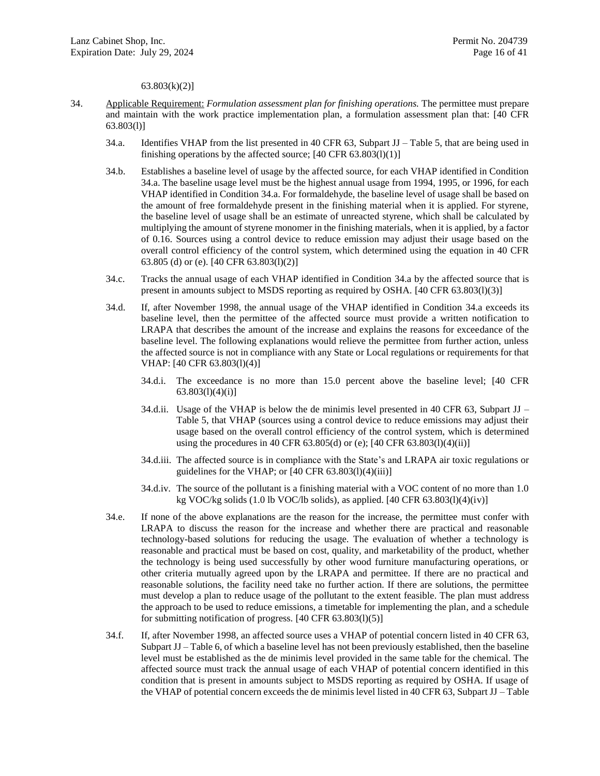63.803(k)(2)]

- <span id="page-15-7"></span><span id="page-15-6"></span><span id="page-15-5"></span><span id="page-15-4"></span><span id="page-15-3"></span><span id="page-15-2"></span><span id="page-15-1"></span><span id="page-15-0"></span>34. Applicable Requirement: *Formulation assessment plan for finishing operations.* The permittee must prepare and maintain with the work practice implementation plan, a formulation assessment plan that: [40 CFR 63.803(l)]
	- 34.a. Identifies VHAP from the list presented in 40 CFR 63, Subpart JJ Table 5, that are being used in finishing operations by the affected source;  $[40 \text{ CFR } 63.803(1)(1)]$
	- 34.b. Establishes a baseline level of usage by the affected source, for each VHAP identified in Condition [34.a.](#page-15-3) The baseline usage level must be the highest annual usage from 1994, 1995, or 1996, for each VHAP identified in Conditio[n 34.a.](#page-15-3) For formaldehyde, the baseline level of usage shall be based on the amount of free formaldehyde present in the finishing material when it is applied. For styrene, the baseline level of usage shall be an estimate of unreacted styrene, which shall be calculated by multiplying the amount of styrene monomer in the finishing materials, when it is applied, by a factor of 0.16. Sources using a control device to reduce emission may adjust their usage based on the overall control efficiency of the control system, which determined using the equation in 40 CFR 63.805 (d) or (e). [40 CFR 63.803(l)(2)]
	- 34.c. Tracks the annual usage of each VHAP identified in Condition [34.a](#page-15-3) by the affected source that is present in amounts subject to MSDS reporting as required by OSHA. [40 CFR 63.803(l)(3)]
	- 34.d. If, after November 1998, the annual usage of the VHAP identified in Condition [34.a](#page-15-3) exceeds its baseline level, then the permittee of the affected source must provide a written notification to LRAPA that describes the amount of the increase and explains the reasons for exceedance of the baseline level. The following explanations would relieve the permittee from further action, unless the affected source is not in compliance with any State or Local regulations or requirements for that VHAP: [40 CFR 63.803(l)(4)]
		- 34.d.i. The exceedance is no more than 15.0 percent above the baseline level; [40 CFR 63.803(l)(4)(i)]
		- 34.d.ii. Usage of the VHAP is below the de minimis level presented in 40 CFR 63, Subpart JJ Table 5, that VHAP (sources using a control device to reduce emissions may adjust their usage based on the overall control efficiency of the control system, which is determined using the procedures in 40 CFR  $63.805(d)$  or (e); [40 CFR  $63.803(l)(4)(ii)$ ]
		- 34.d.iii. The affected source is in compliance with the State's and LRAPA air toxic regulations or guidelines for the VHAP; or  $[40 \text{ CFR } 63.803(1)(4)(iii)]$
		- 34.d.iv. The source of the pollutant is a finishing material with a VOC content of no more than 1.0 kg VOC/kg solids (1.0 lb VOC/lb solids), as applied. [40 CFR 63.803(l)(4)(iv)]
	- 34.e. If none of the above explanations are the reason for the increase, the permittee must confer with LRAPA to discuss the reason for the increase and whether there are practical and reasonable technology-based solutions for reducing the usage. The evaluation of whether a technology is reasonable and practical must be based on cost, quality, and marketability of the product, whether the technology is being used successfully by other wood furniture manufacturing operations, or other criteria mutually agreed upon by the LRAPA and permittee. If there are no practical and reasonable solutions, the facility need take no further action. If there are solutions, the permittee must develop a plan to reduce usage of the pollutant to the extent feasible. The plan must address the approach to be used to reduce emissions, a timetable for implementing the plan, and a schedule for submitting notification of progress. [40 CFR 63.803(l)(5)]
	- 34.f. If, after November 1998, an affected source uses a VHAP of potential concern listed in 40 CFR 63, Subpart JJ – Table 6, of which a baseline level has not been previously established, then the baseline level must be established as the de minimis level provided in the same table for the chemical. The affected source must track the annual usage of each VHAP of potential concern identified in this condition that is present in amounts subject to MSDS reporting as required by OSHA. If usage of the VHAP of potential concern exceeds the de minimis level listed in 40 CFR 63, Subpart JJ – Table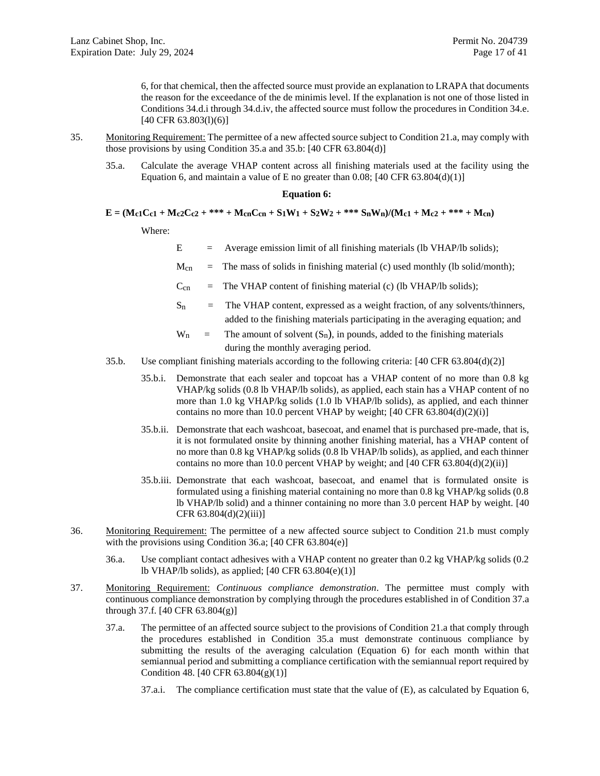6, for that chemical, then the affected source must provide an explanation to LRAPA that documents the reason for the exceedance of the de minimis level. If the explanation is not one of those listed in Conditions [34.d.i](#page-15-4) throug[h 34.d.iv,](#page-15-5) the affected source must follow the procedures in Conditio[n 34.e.](#page-15-6) [40 CFR 63.803(1)(6)]

- <span id="page-16-1"></span>35. Monitoring Requirement: The permittee of a new affected source subject to Conditio[n 21.a,](#page-12-2) may comply with those provisions by using Condition [35.a](#page-16-1) and [35.b:](#page-16-2) [40 CFR 63.804(d)]
	- 35.a. Calculate the average VHAP content across all finishing materials used at the facility using the Equation 6, and maintain a value of E no greater than 0.08;  $[40 \text{ CFR } 63.804(d)(1)]$

#### **Equation 6:**

 $E = (Mc_1C_1 + Mc_2C_2 + *** + McnCcn + S_1W_1 + S_2W_2 + *** * S_nW_n)/(Mc_1 + Mc_2 + *** + Mcn)$ 

Where:

 $E$  = Average emission limit of all finishing materials (lb VHAP/lb solids);

 $M_{cn}$  = The mass of solids in finishing material (c) used monthly (lb solid/month);

 $C_{cn}$  = The VHAP content of finishing material (c) (lb VHAP/lb solids);

- $S_n$  = The VHAP content, expressed as a weight fraction, of any solvents/thinners, added to the finishing materials participating in the averaging equation; and
- $W_n$  = The amount of solvent  $(S_n)$ , in pounds, added to the finishing materials during the monthly averaging period.
- <span id="page-16-2"></span>35.b. Use compliant finishing materials according to the following criteria: [40 CFR 63.804(d)(2)]
	- 35.b.i. Demonstrate that each sealer and topcoat has a VHAP content of no more than 0.8 kg VHAP/kg solids (0.8 lb VHAP/lb solids), as applied, each stain has a VHAP content of no more than 1.0 kg VHAP/kg solids (1.0 lb VHAP/lb solids), as applied, and each thinner contains no more than 10.0 percent VHAP by weight;  $[40 \text{ CFR } 63.804(d)(2)(i)]$
	- 35.b.ii. Demonstrate that each washcoat, basecoat, and enamel that is purchased pre-made, that is, it is not formulated onsite by thinning another finishing material, has a VHAP content of no more than 0.8 kg VHAP/kg solids (0.8 lb VHAP/lb solids), as applied, and each thinner contains no more than 10.0 percent VHAP by weight; and  $[40 \text{ CFR } 63.804(d)(2)(ii)]$
	- 35.b.iii. Demonstrate that each washcoat, basecoat, and enamel that is formulated onsite is formulated using a finishing material containing no more than 0.8 kg VHAP/kg solids (0.8 lb VHAP/lb solid) and a thinner containing no more than 3.0 percent HAP by weight. [40 CFR 63.804(d)(2)(iii)]
- <span id="page-16-3"></span><span id="page-16-0"></span>36. Monitoring Requirement: The permittee of a new affected source subject to Condition [21.b](#page-12-3) must comply with the provisions using Condition [36.a;](#page-16-3) [40 CFR 63.804(e)]
	- 36.a. Use compliant contact adhesives with a VHAP content no greater than 0.2 kg VHAP/kg solids (0.2 lb VHAP/lb solids), as applied; [40 CFR 63.804(e)(1)]
- <span id="page-16-5"></span><span id="page-16-4"></span>37. Monitoring Requirement: *Continuous compliance demonstration*. The permittee must comply with continuous compliance demonstration by complying through the procedures established in of Condition [37.a](#page-16-4) throug[h 37.f.](#page-18-0) [40 CFR 63.804(g)]
	- 37.a. The permittee of an affected source subject to the provisions of Condition [21.a](#page-12-2) that comply through the procedures established in Condition [35.a](#page-16-1) must demonstrate continuous compliance by submitting the results of the averaging calculation (Equation 6) for each month within that semiannual period and submitting a compliance certification with the semiannual report required by Condition [48.](#page-20-0) [40 CFR 63.804(g)(1)]
		- 37.a.i. The compliance certification must state that the value of (E), as calculated by Equation 6,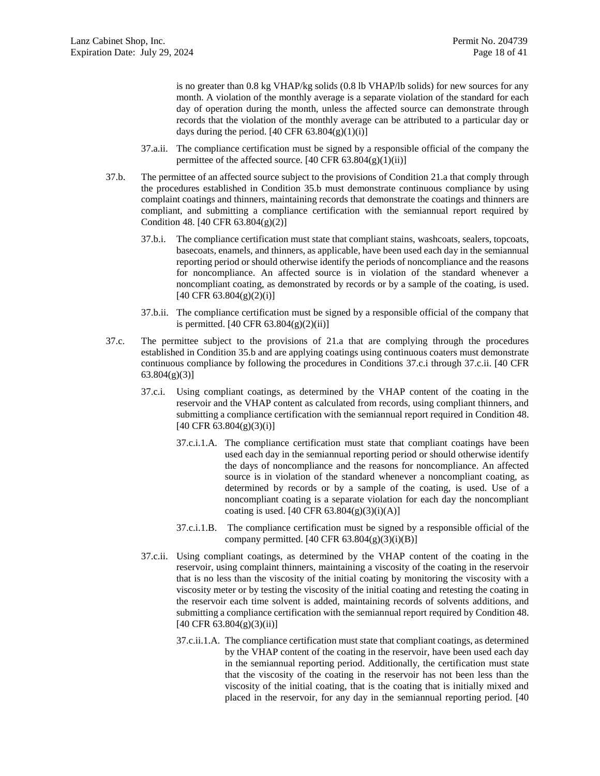is no greater than 0.8 kg VHAP/kg solids (0.8 lb VHAP/lb solids) for new sources for any month. A violation of the monthly average is a separate violation of the standard for each day of operation during the month, unless the affected source can demonstrate through records that the violation of the monthly average can be attributed to a particular day or days during the period. [40 CFR  $63.804(g)(1)(i)$ ]

- 37.a.ii. The compliance certification must be signed by a responsible official of the company the permittee of the affected source.  $[40 \text{ CFR } 63.804(g)(1)(ii)]$
- 37.b. The permittee of an affected source subject to the provisions of Condition [21.a](#page-12-2) that comply through the procedures established in Condition [35.b](#page-16-2) must demonstrate continuous compliance by using complaint coatings and thinners, maintaining records that demonstrate the coatings and thinners are compliant, and submitting a compliance certification with the semiannual report required by Condition [48.](#page-20-0) [40 CFR 63.804(g)(2)]
	- 37.b.i. The compliance certification must state that compliant stains, washcoats, sealers, topcoats, basecoats, enamels, and thinners, as applicable, have been used each day in the semiannual reporting period or should otherwise identify the periods of noncompliance and the reasons for noncompliance. An affected source is in violation of the standard whenever a noncompliant coating, as demonstrated by records or by a sample of the coating, is used.  $[40 \text{ CFR } 63.804(g)(2)(i)]$
	- 37.b.ii. The compliance certification must be signed by a responsible official of the company that is permitted. [40 CFR 63.804(g)(2)(ii)]
- <span id="page-17-2"></span><span id="page-17-1"></span><span id="page-17-0"></span>37.c. The permittee subject to the provisions of [21.a](#page-12-2) that are complying through the procedures established in Condition [35.b](#page-16-2) and are applying coatings using continuous coaters must demonstrate continuous compliance by following the procedures in Conditions [37.c.i](#page-17-0) through [37.c.ii.](#page-17-1) [40 CFR 63.804(g)(3)]
	- 37.c.i. Using compliant coatings, as determined by the VHAP content of the coating in the reservoir and the VHAP content as calculated from records, using compliant thinners, and submitting a compliance certification with the semiannual report required in Conditio[n 48.](#page-20-0)  $[40 \text{ CFR } 63.804(g)(3)(i)]$ 
		- 37.c.i.1.A. The compliance certification must state that compliant coatings have been used each day in the semiannual reporting period or should otherwise identify the days of noncompliance and the reasons for noncompliance. An affected source is in violation of the standard whenever a noncompliant coating, as determined by records or by a sample of the coating, is used. Use of a noncompliant coating is a separate violation for each day the noncompliant coating is used.  $[40 \text{ CFR } 63.804(g)(3)(i)(A)]$
		- 37.c.i.1.B. The compliance certification must be signed by a responsible official of the company permitted.  $[40 \text{ CFR } 63.804(g)(3)(i)(B)]$
	- 37.c.ii. Using compliant coatings, as determined by the VHAP content of the coating in the reservoir, using complaint thinners, maintaining a viscosity of the coating in the reservoir that is no less than the viscosity of the initial coating by monitoring the viscosity with a viscosity meter or by testing the viscosity of the initial coating and retesting the coating in the reservoir each time solvent is added, maintaining records of solvents additions, and submitting a compliance certification with the semiannual report required by Conditio[n 48.](#page-20-0)  $[40 \text{ CFR } 63.804(g)(3)(ii)]$ 
		- 37.c.ii.1.A. The compliance certification must state that compliant coatings, as determined by the VHAP content of the coating in the reservoir, have been used each day in the semiannual reporting period. Additionally, the certification must state that the viscosity of the coating in the reservoir has not been less than the viscosity of the initial coating, that is the coating that is initially mixed and placed in the reservoir, for any day in the semiannual reporting period. [40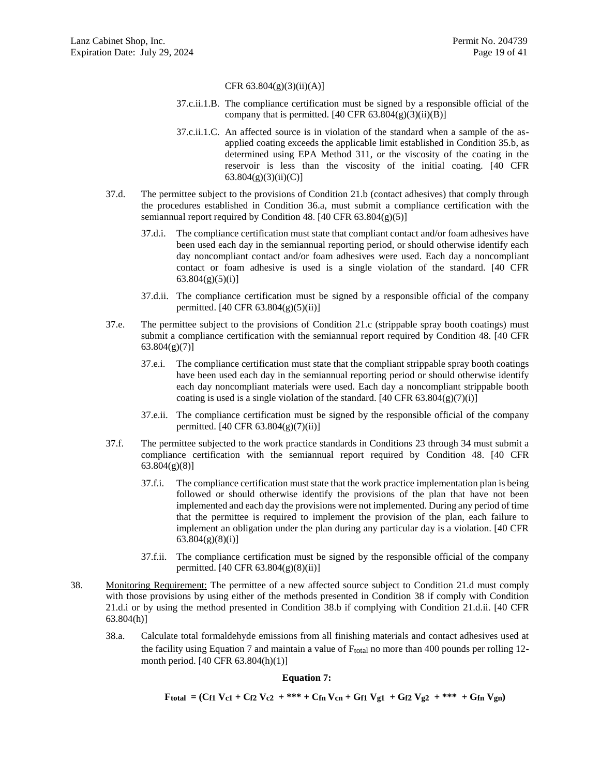#### CFR 63.804(g)(3)(ii)(A)]

- 37.c.ii.1.B. The compliance certification must be signed by a responsible official of the company that is permitted.  $[40 \text{ CFR } 63.804(g)(3)(ii)(B)]$
- 37.c.ii.1.C. An affected source is in violation of the standard when a sample of the asapplied coating exceeds the applicable limit established in Condition [35.b,](#page-16-2) as determined using EPA Method 311, or the viscosity of the coating in the reservoir is less than the viscosity of the initial coating. [40 CFR  $63.804(g)(3)(ii)(C)$ ]
- <span id="page-18-4"></span>37.d. The permittee subject to the provisions of Condition [21.b](#page-12-3) (contact adhesives) that comply through the procedures established in Condition [36.a,](#page-16-3) must submit a compliance certification with the semiannual report required by Condition [48.](#page-20-0) [40 CFR  $63.804(g)(5)$ ]
	- 37.d.i. The compliance certification must state that compliant contact and/or foam adhesives have been used each day in the semiannual reporting period, or should otherwise identify each day noncompliant contact and/or foam adhesives were used. Each day a noncompliant contact or foam adhesive is used is a single violation of the standard. [40 CFR  $63.804(g)(5)(i)$ ]
	- 37.d.ii. The compliance certification must be signed by a responsible official of the company permitted. [40 CFR 63.804(g)(5)(ii)]
- <span id="page-18-5"></span>37.e. The permittee subject to the provisions of Condition [21.c](#page-13-8) (strippable spray booth coatings) must submit a compliance certification with the semiannual report required by Condition [48.](#page-20-0) [40 CFR  $63.804(g)(7)$ ]
	- 37.e.i. The compliance certification must state that the compliant strippable spray booth coatings have been used each day in the semiannual reporting period or should otherwise identify each day noncompliant materials were used. Each day a noncompliant strippable booth coating is used is a single violation of the standard.  $[40 \text{ CFR } 63.804(g)(7)(i)]$
	- 37.e.ii. The compliance certification must be signed by the responsible official of the company permitted. [40 CFR 63.804(g)(7)(ii)]
- <span id="page-18-0"></span>37.f. The permittee subjected to the work practice standards in Conditions [23](#page-13-1) through [34](#page-15-2) must submit a compliance certification with the semiannual report required by Condition [48.](#page-20-0) [40 CFR 63.804(g)(8)]
	- 37.f.i. The compliance certification must state that the work practice implementation plan is being followed or should otherwise identify the provisions of the plan that have not been implemented and each day the provisions were not implemented. During any period of time that the permittee is required to implement the provision of the plan, each failure to implement an obligation under the plan during any particular day is a violation. [40 CFR  $63.804(g)(8)(i)$ ]
	- 37.f.ii. The compliance certification must be signed by the responsible official of the company permitted.  $[40 \text{ CFR } 63.804(g)(8)(ii)]$
- <span id="page-18-3"></span><span id="page-18-1"></span>38. Monitoring Requirement: The permittee of a new affected source subject to Condition [21.d](#page-13-2) must comply with those provisions by using either of the methods presented in Condition [38](#page-18-2) if comply with Condition [21.d.i](#page-13-3) or by using the method presented in Condition [38.b](#page-19-2) if complying with Condition [21.d.ii.](#page-13-4) [40 CFR 63.804(h)]
	- 38.a. Calculate total formaldehyde emissions from all finishing materials and contact adhesives used at the facility using Equation 7 and maintain a value of  $F_{total}$  no more than 400 pounds per rolling 12month period. [40 CFR 63.804(h)(1)]

#### **Equation 7:**

<span id="page-18-2"></span>Ftotal =  $(Cf1 Vc1 + Cf2 Vc2 + *** + Cfn Vc1 + Gf1 Vg1 + Gf2 Vg2 + *** + Gfn Vg1)$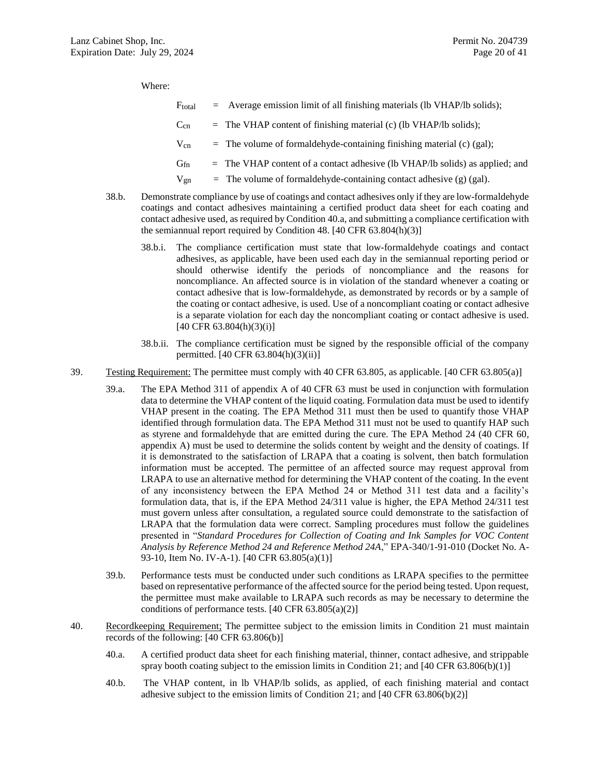Where:

| $\rm F_{total}$ | Average emission limit of all finishing materials (lb VHAP/lb solids); |  |  |
|-----------------|------------------------------------------------------------------------|--|--|
|                 |                                                                        |  |  |

- $C_{cn}$  = The VHAP content of finishing material (c) (lb VHAP/lb solids);
- $V_{cn}$  = The volume of formaldehyde-containing finishing material (c) (gal);
- $G<sub>fn</sub>$  = The VHAP content of a contact adhesive (lb VHAP/lb solids) as applied; and
- $V_{\text{gn}}$  = The volume of formaldehyde-containing contact adhesive (g) (gal).
- <span id="page-19-2"></span>38.b. Demonstrate compliance by use of coatings and contact adhesives only if they are low-formaldehyde coatings and contact adhesives maintaining a certified product data sheet for each coating and contact adhesive used, as required by Conditio[n 40.a,](#page-19-3) and submitting a compliance certification with the semiannual report required by Condition [48.](#page-20-0) [40 CFR 63.804(h)(3)]
	- 38.b.i. The compliance certification must state that low-formaldehyde coatings and contact adhesives, as applicable, have been used each day in the semiannual reporting period or should otherwise identify the periods of noncompliance and the reasons for noncompliance. An affected source is in violation of the standard whenever a coating or contact adhesive that is low-formaldehyde, as demonstrated by records or by a sample of the coating or contact adhesive, is used. Use of a noncompliant coating or contact adhesive is a separate violation for each day the noncompliant coating or contact adhesive is used.  $[40 \text{ CFR } 63.804 \text{ (h)}(3) \text{ (i)}]$
	- 38.b.ii. The compliance certification must be signed by the responsible official of the company permitted. [40 CFR 63.804(h)(3)(ii)]
- <span id="page-19-1"></span>39. Testing Requirement: The permittee must comply with 40 CFR 63.805, as applicable. [40 CFR 63.805(a)]
	- 39.a. The EPA Method 311 of appendix A of 40 CFR 63 must be used in conjunction with formulation data to determine the VHAP content of the liquid coating. Formulation data must be used to identify VHAP present in the coating. The EPA Method 311 must then be used to quantify those VHAP identified through formulation data. The EPA Method 311 must not be used to quantify HAP such as styrene and formaldehyde that are emitted during the cure. The EPA Method 24 (40 CFR 60, appendix A) must be used to determine the solids content by weight and the density of coatings. If it is demonstrated to the satisfaction of LRAPA that a coating is solvent, then batch formulation information must be accepted. The permittee of an affected source may request approval from LRAPA to use an alternative method for determining the VHAP content of the coating. In the event of any inconsistency between the EPA Method 24 or Method 311 test data and a facility's formulation data, that is, if the EPA Method 24/311 value is higher, the EPA Method 24/311 test must govern unless after consultation, a regulated source could demonstrate to the satisfaction of LRAPA that the formulation data were correct. Sampling procedures must follow the guidelines presented in "*Standard Procedures for Collection of Coating and Ink Samples for VOC Content Analysis by Reference Method 24 and Reference Method 24A*," EPA-340/1-91-010 (Docket No. A-93-10, Item No. IV-A-1). [40 CFR 63.805(a)(1)]
	- 39.b. Performance tests must be conducted under such conditions as LRAPA specifies to the permittee based on representative performance of the affected source for the period being tested. Upon request, the permittee must make available to LRAPA such records as may be necessary to determine the conditions of performance tests.  $[40 \text{ CFR } 63.805(a)(2)]$
- <span id="page-19-3"></span><span id="page-19-0"></span>40. Recordkeeping Requirement; The permittee subject to the emission limits in Condition [21](#page-12-1) must maintain records of the following: [40 CFR 63.806(b)]
	- 40.a. A certified product data sheet for each finishing material, thinner, contact adhesive, and strippable spray booth coating subject to the emission limits in Condition [21;](#page-12-1) and  $[40 \text{ CFR } 63.806(b)(1)]$
	- 40.b. The VHAP content, in lb VHAP/lb solids, as applied, of each finishing material and contact adhesive subject to the emission limits of Condition [21;](#page-12-1) and [40 CFR 63.806(b)(2)]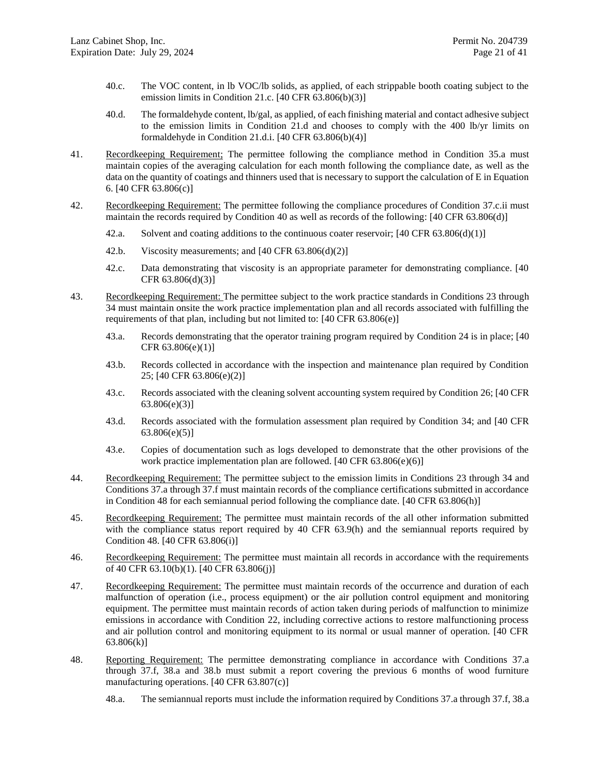- 40.c. The VOC content, in lb VOC/lb solids, as applied, of each strippable booth coating subject to the emission limits in Condition [21.c.](#page-13-8) [40 CFR 63.806(b)(3)]
- 40.d. The formaldehyde content, lb/gal, as applied, of each finishing material and contact adhesive subject to the emission limits in Condition [21.d](#page-13-2) and chooses to comply with the 400 lb/yr limits on formaldehyde in Condition [21.d.i.](#page-13-3)  $[40 \text{ CFR } 63.806(b)(4)]$
- <span id="page-20-6"></span>41. Recordkeeping Requirement; The permittee following the compliance method in Condition [35.a](#page-16-1) must maintain copies of the averaging calculation for each month following the compliance date, as well as the data on the quantity of coatings and thinners used that is necessary to support the calculation of E in Equation 6. [40 CFR 63.806(c)]
- <span id="page-20-3"></span>42. Recordkeeping Requirement: The permittee following the compliance procedures of Condition [37.c.ii](#page-17-1) must maintain the records required by Condition [40](#page-19-0) as well as records of the following: [40 CFR 63.806(d)]
	- 42.a. Solvent and coating additions to the continuous coater reservoir; [40 CFR 63.806(d)(1)]
	- 42.b. Viscosity measurements; and  $[40 \text{ CFR } 63.806(d)(2)]$
	- 42.c. Data demonstrating that viscosity is an appropriate parameter for demonstrating compliance. [40 CFR 63.806(d)(3)]
- <span id="page-20-1"></span>43. Recordkeeping Requirement: The permittee subject to the work practice standards in Conditions [23](#page-13-1) through [34](#page-15-2) must maintain onsite the work practice implementation plan and all records associated with fulfilling the requirements of that plan, including but not limited to: [40 CFR 63.806(e)]
	- 43.a. Records demonstrating that the operator training program required by Condition [24](#page-13-7) is in place; [40 CFR 63.806(e)(1)]
	- 43.b. Records collected in accordance with the inspection and maintenance plan required by Condition [25;](#page-14-0) [40 CFR 63.806(e)(2)]
	- 43.c. Records associated with the cleaning solvent accounting system required by Condition [26;](#page-14-1) [40 CFR 63.806(e)(3)]
	- 43.d. Records associated with the formulation assessment plan required by Condition [34;](#page-15-2) and [40 CFR  $63.806(e)(5)$ ]
	- 43.e. Copies of documentation such as logs developed to demonstrate that the other provisions of the work practice implementation plan are followed. [40 CFR 63.806(e)(6)]
- <span id="page-20-2"></span>44. Recordkeeping Requirement: The permittee subject to the emission limits in Conditions [23](#page-13-1) throug[h 34](#page-15-2) and Conditions [37.a](#page-16-4) throug[h 37.f](#page-18-0) must maintain records of the compliance certifications submitted in accordance in Condition [48](#page-20-0) for each semiannual period following the compliance date. [40 CFR 63.806(h)]
- 45. Recordkeeping Requirement: The permittee must maintain records of the all other information submitted with the compliance status report required by 40 CFR 63.9(h) and the semiannual reports required by Condition [48.](#page-20-0) [40 CFR 63.806(i)]
- <span id="page-20-4"></span>46. Recordkeeping Requirement: The permittee must maintain all records in accordance with the requirements of 40 CFR 63.10(b)(1). [40 CFR 63.806(j)]
- <span id="page-20-5"></span>47. Recordkeeping Requirement: The permittee must maintain records of the occurrence and duration of each malfunction of operation (i.e., process equipment) or the air pollution control equipment and monitoring equipment. The permittee must maintain records of action taken during periods of malfunction to minimize emissions in accordance with Condition [22,](#page-13-0) including corrective actions to restore malfunctioning process and air pollution control and monitoring equipment to its normal or usual manner of operation. [40 CFR 63.806(k)]
- <span id="page-20-0"></span>48. Reporting Requirement: The permittee demonstrating compliance in accordance with Conditions [37.a](#page-16-4) through [37.f,](#page-18-0) [38.a](#page-18-3) and [38.b](#page-19-2) must submit a report covering the previous 6 months of wood furniture manufacturing operations. [40 CFR 63.807(c)]
	- 48.a. The semiannual reports must include the information required by Conditions [37.a](#page-16-4) throug[h 37.f,](#page-18-0) [38.a](#page-18-3)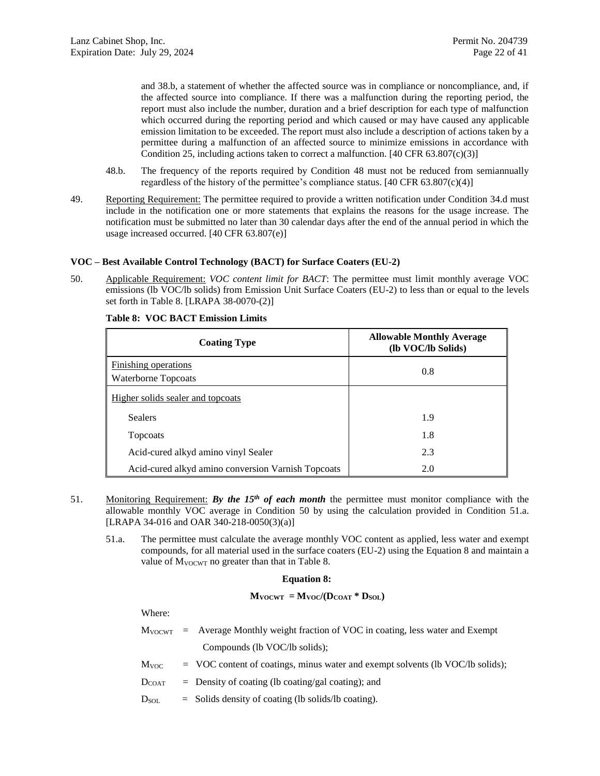and [38.b,](#page-19-2) a statement of whether the affected source was in compliance or noncompliance, and, if the affected source into compliance. If there was a malfunction during the reporting period, the report must also include the number, duration and a brief description for each type of malfunction which occurred during the reporting period and which caused or may have caused any applicable emission limitation to be exceeded. The report must also include a description of actions taken by a permittee during a malfunction of an affected source to minimize emissions in accordance with Condition [25,](#page-14-0) including actions taken to correct a malfunction.  $[40 \text{ CFR } 63.807 \text{ (c)}(3)]$ 

- 48.b. The frequency of the reports required by Condition [48](#page-20-0) must not be reduced from semiannually regardless of the history of the permittee's compliance status.  $[40 \text{ CFR } 63.807 \text{ (c)} \cdot (4)]$
- <span id="page-21-0"></span>49. Reporting Requirement: The permittee required to provide a written notification under Condition [34.d](#page-15-7) must include in the notification one or more statements that explains the reasons for the usage increase. The notification must be submitted no later than 30 calendar days after the end of the annual period in which the usage increased occurred. [40 CFR 63.807(e)]

### **VOC – Best Available Control Technology (BACT) for Surface Coaters (EU-2)**

<span id="page-21-1"></span>50. Applicable Requirement: *VOC content limit for BACT*: The permittee must limit monthly average VOC emissions (lb VOC/lb solids) from Emission Unit Surface Coaters (EU-2) to less than or equal to the levels set forth in Table 8. [LRAPA 38-0070-(2)]

| <b>Coating Type</b>                                | <b>Allowable Monthly Average</b><br>(lb VOC/lb Solids) |
|----------------------------------------------------|--------------------------------------------------------|
| Finishing operations<br>Waterborne Topcoats        | 0.8                                                    |
| Higher solids sealer and topcoats                  |                                                        |
| <b>Sealers</b>                                     | 1.9                                                    |
| Topcoats                                           | 1.8                                                    |
| Acid-cured alkyd amino vinyl Sealer                | 2.3                                                    |
| Acid-cured alkyd amino conversion Varnish Topcoats | 2.0                                                    |

### **Table 8: VOC BACT Emission Limits**

- <span id="page-21-3"></span><span id="page-21-2"></span>51. Monitoring Requirement: *By the 15th of each month* the permittee must monitor compliance with the allowable monthly VOC average in Condition [50](#page-21-1) by using the calculation provided in Condition [51.a.](#page-21-3) [LRAPA 34-016 and OAR 340-218-0050(3)(a)]
	- 51.a. The permittee must calculate the average monthly VOC content as applied, less water and exempt compounds, for all material used in the surface coaters (EU-2) using the Equation 8 and maintain a value of  $M_{VOCWT}$  no greater than that in Table 8.

#### **Equation 8:**

### $M$ **VOCWT** =  $M$ **VOC** $/$ ( $D$ **COAT**  $*$   $D$ **SOL**)

Where:

- $M_{VOCWT}$  = Average Monthly weight fraction of VOC in coating, less water and Exempt Compounds (lb VOC/lb solids);
- $M_{VOC}$  = VOC content of coatings, minus water and exempt solvents (lb VOC/lb solids);
- $D_{COAT}$  = Density of coating (lb coating/gal coating); and
- $D<sub>SOL</sub>$  = Solids density of coating (lb solids/lb coating).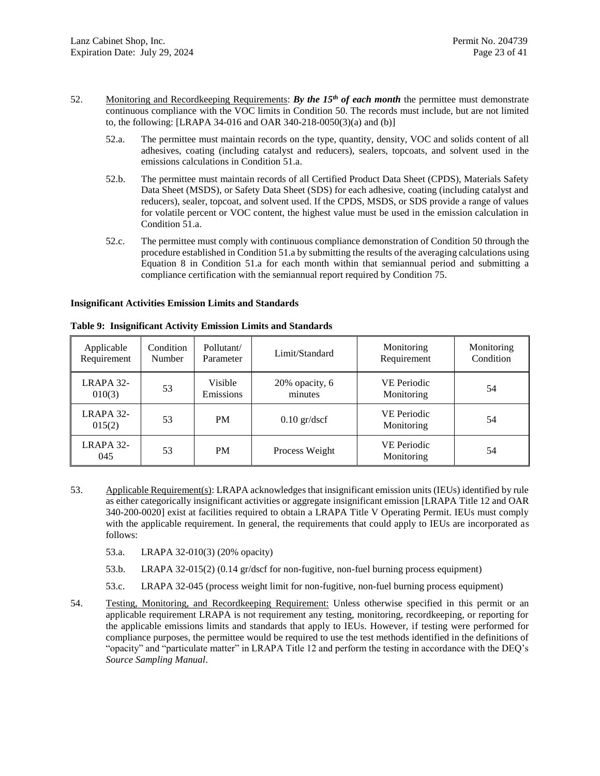- <span id="page-22-0"></span>52. Monitoring and Recordkeeping Requirements: *By the 15th of each month* the permittee must demonstrate continuous compliance with the VOC limits in Condition [50.](#page-21-1) The records must include, but are not limited to, the following: [LRAPA 34-016 and OAR 340-218-0050(3)(a) and (b)]
	- 52.a. The permittee must maintain records on the type, quantity, density, VOC and solids content of all adhesives, coating (including catalyst and reducers), sealers, topcoats, and solvent used in the emissions calculations in Condition [51.a.](#page-21-3)
	- 52.b. The permittee must maintain records of all Certified Product Data Sheet (CPDS), Materials Safety Data Sheet (MSDS), or Safety Data Sheet (SDS) for each adhesive, coating (including catalyst and reducers), sealer, topcoat, and solvent used. If the CPDS, MSDS, or SDS provide a range of values for volatile percent or VOC content, the highest value must be used in the emission calculation in Condition [51.a.](#page-21-3)
	- 52.c. The permittee must comply with continuous compliance demonstration of Condition [50](#page-21-1) through the procedure established in Conditio[n 51.a](#page-21-3) by submitting the results of the averaging calculations using Equation 8 in Condition [51.a](#page-21-3) for each month within that semiannual period and submitting a compliance certification with the semiannual report required by Conditio[n 75.](#page-30-0)

#### **Insignificant Activities Emission Limits and Standards**

| Applicable<br>Requirement | Condition<br>Number | Pollutant/<br>Parameter | Limit/Standard            | Monitoring<br>Requirement        | Monitoring<br>Condition |
|---------------------------|---------------------|-------------------------|---------------------------|----------------------------------|-------------------------|
| LRAPA 32-<br>010(3)       | 53                  | Visible<br>Emissions    | 20% opacity, 6<br>minutes | <b>VE Periodic</b><br>Monitoring | 54                      |
| LRAPA 32-<br>015(2)       | 53                  | <b>PM</b>               | $0.10$ gr/dscf            | <b>VE Periodic</b><br>Monitoring | 54                      |
| LRAPA 32-<br>045          | 53                  | <b>PM</b>               | Process Weight            | <b>VE Periodic</b><br>Monitoring | 54                      |

**Table 9: Insignificant Activity Emission Limits and Standards**

- <span id="page-22-1"></span>53. Applicable Requirement(s): LRAPA acknowledges that insignificant emission units (IEUs) identified by rule as either categorically insignificant activities or aggregate insignificant emission [LRAPA Title 12 and OAR 340-200-0020] exist at facilities required to obtain a LRAPA Title V Operating Permit. IEUs must comply with the applicable requirement. In general, the requirements that could apply to IEUs are incorporated as follows:
	- 53.a. LRAPA 32-010(3) (20% opacity)
	- 53.b. LRAPA 32-015(2) (0.14 gr/dscf for non-fugitive, non-fuel burning process equipment)
	- 53.c. LRAPA 32-045 (process weight limit for non-fugitive, non-fuel burning process equipment)
- <span id="page-22-2"></span>54. Testing, Monitoring, and Recordkeeping Requirement: Unless otherwise specified in this permit or an applicable requirement LRAPA is not requirement any testing, monitoring, recordkeeping, or reporting for the applicable emissions limits and standards that apply to IEUs. However, if testing were performed for compliance purposes, the permittee would be required to use the test methods identified in the definitions of "opacity" and "particulate matter" in LRAPA Title 12 and perform the testing in accordance with the DEQ's *Source Sampling Manual*.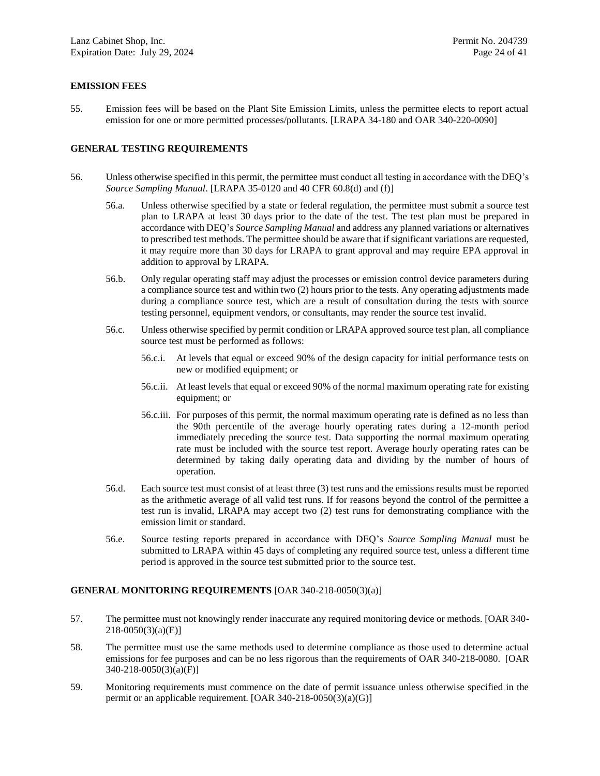## **EMISSION FEES**

55. Emission fees will be based on the Plant Site Emission Limits, unless the permittee elects to report actual emission for one or more permitted processes/pollutants. [LRAPA 34-180 and OAR 340-220-0090]

### **GENERAL TESTING REQUIREMENTS**

- <span id="page-23-0"></span>56. Unless otherwise specified in this permit, the permittee must conduct all testing in accordance with the DEQ's *Source Sampling Manual*. [LRAPA 35-0120 and 40 CFR 60.8(d) and (f)]
	- 56.a. Unless otherwise specified by a state or federal regulation, the permittee must submit a source test plan to LRAPA at least 30 days prior to the date of the test. The test plan must be prepared in accordance with DEQ's *Source Sampling Manual* and address any planned variations or alternatives to prescribed test methods. The permittee should be aware that if significant variations are requested, it may require more than 30 days for LRAPA to grant approval and may require EPA approval in addition to approval by LRAPA.
	- 56.b. Only regular operating staff may adjust the processes or emission control device parameters during a compliance source test and within two (2) hours prior to the tests. Any operating adjustments made during a compliance source test, which are a result of consultation during the tests with source testing personnel, equipment vendors, or consultants, may render the source test invalid.
	- 56.c. Unless otherwise specified by permit condition or LRAPA approved source test plan, all compliance source test must be performed as follows:
		- 56.c.i. At levels that equal or exceed 90% of the design capacity for initial performance tests on new or modified equipment; or
		- 56.c.ii. At least levels that equal or exceed 90% of the normal maximum operating rate for existing equipment; or
		- 56.c.iii. For purposes of this permit, the normal maximum operating rate is defined as no less than the 90th percentile of the average hourly operating rates during a 12-month period immediately preceding the source test. Data supporting the normal maximum operating rate must be included with the source test report. Average hourly operating rates can be determined by taking daily operating data and dividing by the number of hours of operation.
	- 56.d. Each source test must consist of at least three (3) test runs and the emissions results must be reported as the arithmetic average of all valid test runs. If for reasons beyond the control of the permittee a test run is invalid, LRAPA may accept two (2) test runs for demonstrating compliance with the emission limit or standard.
	- 56.e. Source testing reports prepared in accordance with DEQ's *Source Sampling Manual* must be submitted to LRAPA within 45 days of completing any required source test, unless a different time period is approved in the source test submitted prior to the source test.

### **GENERAL MONITORING REQUIREMENTS** [OAR 340-218-0050(3)(a)]

- 57. The permittee must not knowingly render inaccurate any required monitoring device or methods. [OAR 340- 218-0050(3)(a)(E)]
- 58. The permittee must use the same methods used to determine compliance as those used to determine actual emissions for fee purposes and can be no less rigorous than the requirements of OAR 340-218-0080. [OAR 340-218-0050(3)(a)(F)]
- 59. Monitoring requirements must commence on the date of permit issuance unless otherwise specified in the permit or an applicable requirement. [OAR 340-218-0050(3)(a)(G)]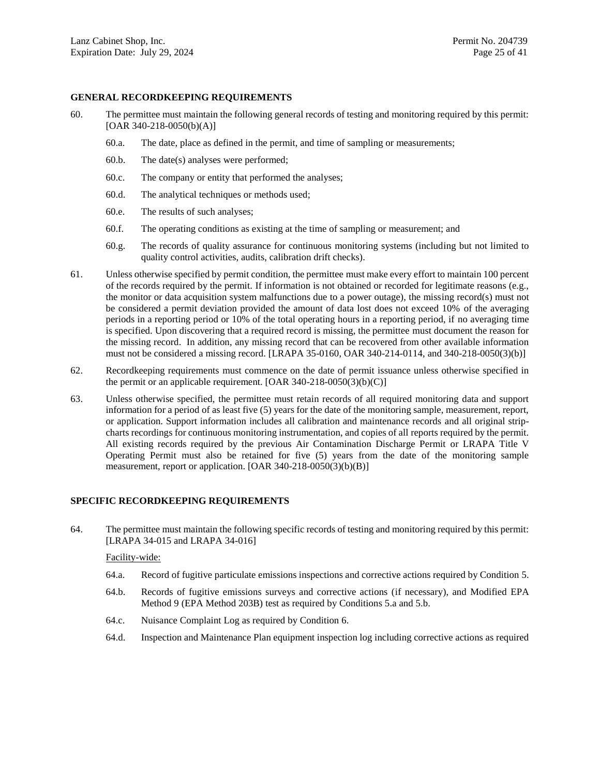### **GENERAL RECORDKEEPING REQUIREMENTS**

- 60. The permittee must maintain the following general records of testing and monitoring required by this permit:  $[OAR 340-218-0050(b)(A)]$ 
	- 60.a. The date, place as defined in the permit, and time of sampling or measurements;
	- 60.b. The date(s) analyses were performed;
	- 60.c. The company or entity that performed the analyses;
	- 60.d. The analytical techniques or methods used;
	- 60.e. The results of such analyses;
	- 60.f. The operating conditions as existing at the time of sampling or measurement; and
	- 60.g. The records of quality assurance for continuous monitoring systems (including but not limited to quality control activities, audits, calibration drift checks).
- <span id="page-24-0"></span>61. Unless otherwise specified by permit condition, the permittee must make every effort to maintain 100 percent of the records required by the permit. If information is not obtained or recorded for legitimate reasons (e.g., the monitor or data acquisition system malfunctions due to a power outage), the missing record(s) must not be considered a permit deviation provided the amount of data lost does not exceed 10% of the averaging periods in a reporting period or 10% of the total operating hours in a reporting period, if no averaging time is specified. Upon discovering that a required record is missing, the permittee must document the reason for the missing record. In addition, any missing record that can be recovered from other available information must not be considered a missing record. [LRAPA 35-0160, OAR 340-214-0114, and 340-218-0050(3)(b)]
- 62. Recordkeeping requirements must commence on the date of permit issuance unless otherwise specified in the permit or an applicable requirement. [OAR 340-218-0050(3)(b)(C)]
- 63. Unless otherwise specified, the permittee must retain records of all required monitoring data and support information for a period of as least five (5) years for the date of the monitoring sample, measurement, report, or application. Support information includes all calibration and maintenance records and all original stripcharts recordings for continuous monitoring instrumentation, and copies of all reports required by the permit. All existing records required by the previous Air Contamination Discharge Permit or LRAPA Title V Operating Permit must also be retained for five (5) years from the date of the monitoring sample measurement, report or application. [OAR 340-218-0050(3)(b)(B)]

### **SPECIFIC RECORDKEEPING REQUIREMENTS**

<span id="page-24-1"></span>64. The permittee must maintain the following specific records of testing and monitoring required by this permit: [LRAPA 34-015 and LRAPA 34-016]

#### Facility-wide:

- 64.a. Record of fugitive particulate emissions inspections and corrective actions required by Condition [5.](#page-6-2)
- 64.b. Records of fugitive emissions surveys and corrective actions (if necessary), and Modified EPA Method 9 (EPA Method 203B) test as required by Conditions [5.a](#page-6-7) and [5.b.](#page-6-8)
- 64.c. Nuisance Complaint Log as required by Conditio[n 6.](#page-6-0)
- 64.d. Inspection and Maintenance Plan equipment inspection log including corrective actions as required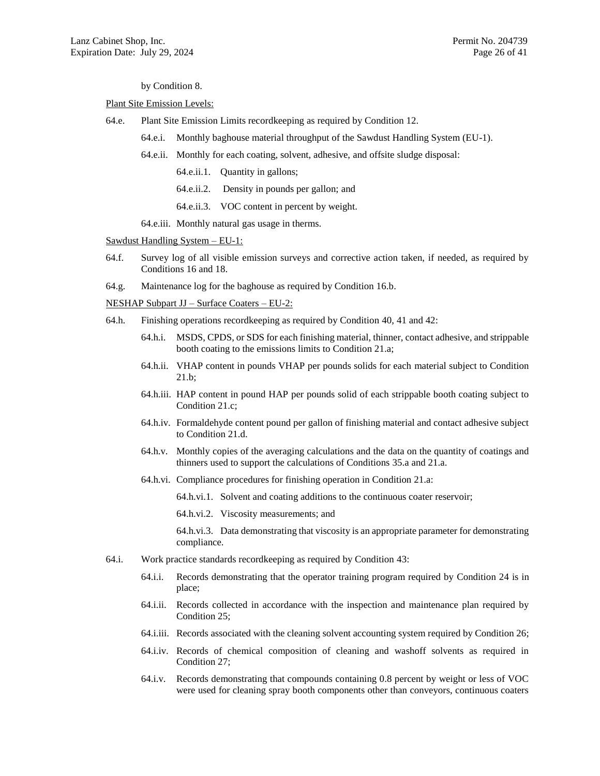#### by Condition [8.](#page-6-5)

#### Plant Site Emission Levels:

- 64.e. Plant Site Emission Limits recordkeeping as required by Condition [12.](#page-7-1)
	- 64.e.i. Monthly baghouse material throughput of the Sawdust Handling System (EU-1).
	- 64.e.ii. Monthly for each coating, solvent, adhesive, and offsite sludge disposal:
		- 64.e.ii.1. Quantity in gallons;
		- 64.e.ii.2. Density in pounds per gallon; and
		- 64.e.ii.3. VOC content in percent by weight.
	- 64.e.iii. Monthly natural gas usage in therms.

### Sawdust Handling System – EU-1:

- 64.f. Survey log of all visible emission surveys and corrective action taken, if needed, as required by Conditions [16](#page-10-3) and [18.](#page-11-1)
- 64.g. Maintenance log for the baghouse as required by Condition [16.b.](#page-11-2)

NESHAP Subpart JJ – Surface Coaters – EU-2:

- 64.h. Finishing operations recordkeeping as required by Condition [40,](#page-19-0) [41](#page-20-6) and [42:](#page-20-3)
	- 64.h.i. MSDS, CPDS, or SDS for each finishing material, thinner, contact adhesive, and strippable booth coating to the emissions limits to Condition [21.a;](#page-12-2)
	- 64.h.ii. VHAP content in pounds VHAP per pounds solids for each material subject to Condition [21.b;](#page-12-3)
	- 64.h.iii. HAP content in pound HAP per pounds solid of each strippable booth coating subject to Condition [21.c;](#page-13-8)
	- 64.h.iv. Formaldehyde content pound per gallon of finishing material and contact adhesive subject to Condition [21.d.](#page-13-2)
	- 64.h.v. Monthly copies of the averaging calculations and the data on the quantity of coatings and thinners used to support the calculations of Conditions [35.a](#page-16-1) and [21.a.](#page-12-2)
	- 64.h.vi. Compliance procedures for finishing operation in Condition [21.a:](#page-12-2)
		- 64.h.vi.1. Solvent and coating additions to the continuous coater reservoir;
		- 64.h.vi.2. Viscosity measurements; and

64.h.vi.3. Data demonstrating that viscosity is an appropriate parameter for demonstrating compliance.

- 64.i. Work practice standards recordkeeping as required by Condition [43:](#page-20-1)
	- 64.i.i. Records demonstrating that the operator training program required by Condition [24](#page-13-7) is in place;
	- 64.i.ii. Records collected in accordance with the inspection and maintenance plan required by Condition [25;](#page-14-0)
	- 64.i.iii. Records associated with the cleaning solvent accounting system required by Condition [26;](#page-14-1)
	- 64.i.iv. Records of chemical composition of cleaning and washoff solvents as required in Condition [27;](#page-14-2)
	- 64.i.v. Records demonstrating that compounds containing 0.8 percent by weight or less of VOC were used for cleaning spray booth components other than conveyors, continuous coaters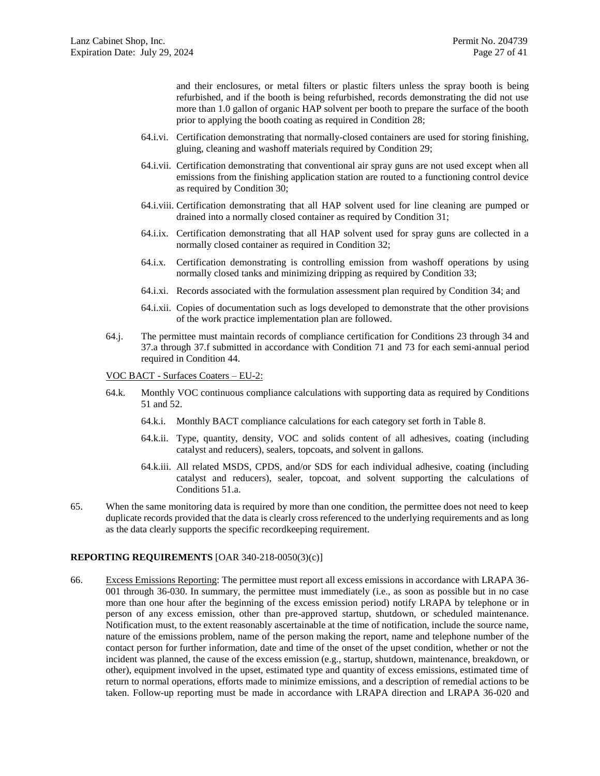and their enclosures, or metal filters or plastic filters unless the spray booth is being refurbished, and if the booth is being refurbished, records demonstrating the did not use more than 1.0 gallon of organic HAP solvent per booth to prepare the surface of the booth prior to applying the booth coating as required in Condition [28;](#page-14-3)

- 64.i.vi. Certification demonstrating that normally-closed containers are used for storing finishing, gluing, cleaning and washoff materials required by Condition [29;](#page-14-4)
- 64.i.vii. Certification demonstrating that conventional air spray guns are not used except when all emissions from the finishing application station are routed to a functioning control device as required by Conditio[n 30;](#page-14-5)
- 64.i.viii. Certification demonstrating that all HAP solvent used for line cleaning are pumped or drained into a normally closed container as required by Condition [31;](#page-14-6)
- 64.i.ix. Certification demonstrating that all HAP solvent used for spray guns are collected in a normally closed container as required in Condition [32;](#page-14-7)
- 64.i.x. Certification demonstrating is controlling emission from washoff operations by using normally closed tanks and minimizing dripping as required by Condition [33;](#page-14-8)
- 64.i.xi. Records associated with the formulation assessment plan required by Condition [34;](#page-15-2) and
- 64.i.xii. Copies of documentation such as logs developed to demonstrate that the other provisions of the work practice implementation plan are followed.
- 64.j. The permittee must maintain records of compliance certification for Conditions [23](#page-13-1) through [34](#page-15-2) and [37.a](#page-16-4) through [37.f](#page-18-0) submitted in accordance with Condition [71](#page-28-0) and [73](#page-28-1) for each semi-annual period required in Conditio[n 44.](#page-20-2)
- VOC BACT Surfaces Coaters EU-2:
- 64.k. Monthly VOC continuous compliance calculations with supporting data as required by Conditions [51](#page-21-2) and [52.](#page-22-0)
	- 64.k.i. Monthly BACT compliance calculations for each category set forth in Table 8.
	- 64.k.ii. Type, quantity, density, VOC and solids content of all adhesives, coating (including catalyst and reducers), sealers, topcoats, and solvent in gallons.
	- 64.k.iii. All related MSDS, CPDS, and/or SDS for each individual adhesive, coating (including catalyst and reducers), sealer, topcoat, and solvent supporting the calculations of Conditions [51.a.](#page-21-3)
- 65. When the same monitoring data is required by more than one condition, the permittee does not need to keep duplicate records provided that the data is clearly cross referenced to the underlying requirements and as long as the data clearly supports the specific recordkeeping requirement.

### **REPORTING REQUIREMENTS** [OAR 340-218-0050(3)(c)]

<span id="page-26-0"></span>66. Excess Emissions Reporting: The permittee must report all excess emissions in accordance with LRAPA 36- 001 through 36-030. In summary, the permittee must immediately (i.e., as soon as possible but in no case more than one hour after the beginning of the excess emission period) notify LRAPA by telephone or in person of any excess emission, other than pre-approved startup, shutdown, or scheduled maintenance. Notification must, to the extent reasonably ascertainable at the time of notification, include the source name, nature of the emissions problem, name of the person making the report, name and telephone number of the contact person for further information, date and time of the onset of the upset condition, whether or not the incident was planned, the cause of the excess emission (e.g., startup, shutdown, maintenance, breakdown, or other), equipment involved in the upset, estimated type and quantity of excess emissions, estimated time of return to normal operations, efforts made to minimize emissions, and a description of remedial actions to be taken. Follow-up reporting must be made in accordance with LRAPA direction and LRAPA 36-020 and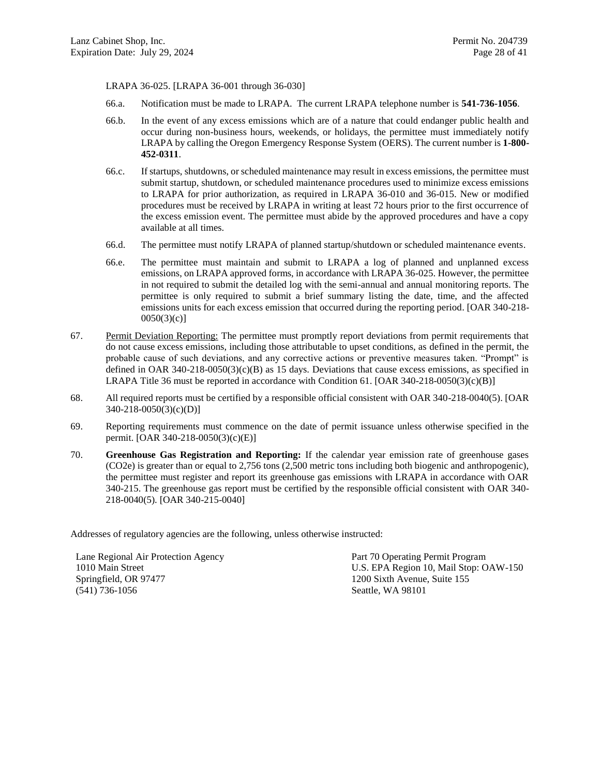LRAPA 36-025. [LRAPA 36-001 through 36-030]

- 66.a. Notification must be made to LRAPA. The current LRAPA telephone number is **541-736-1056**.
- 66.b. In the event of any excess emissions which are of a nature that could endanger public health and occur during non-business hours, weekends, or holidays, the permittee must immediately notify LRAPA by calling the Oregon Emergency Response System (OERS). The current number is **1-800- 452-0311**.
- 66.c. If startups, shutdowns, or scheduled maintenance may result in excess emissions, the permittee must submit startup, shutdown, or scheduled maintenance procedures used to minimize excess emissions to LRAPA for prior authorization, as required in LRAPA 36-010 and 36-015. New or modified procedures must be received by LRAPA in writing at least 72 hours prior to the first occurrence of the excess emission event. The permittee must abide by the approved procedures and have a copy available at all times.
- 66.d. The permittee must notify LRAPA of planned startup/shutdown or scheduled maintenance events.
- <span id="page-27-0"></span>66.e. The permittee must maintain and submit to LRAPA a log of planned and unplanned excess emissions, on LRAPA approved forms, in accordance with LRAPA 36-025. However, the permittee in not required to submit the detailed log with the semi-annual and annual monitoring reports. The permittee is only required to submit a brief summary listing the date, time, and the affected emissions units for each excess emission that occurred during the reporting period. [OAR 340-218-  $0050(3)(c)$ ]
- 67. Permit Deviation Reporting: The permittee must promptly report deviations from permit requirements that do not cause excess emissions, including those attributable to upset conditions, as defined in the permit, the probable cause of such deviations, and any corrective actions or preventive measures taken. "Prompt" is defined in OAR  $340-218-0050(3)(c)$  as 15 days. Deviations that cause excess emissions, as specified in LRAPA Title 36 must be reported in accordance with Condition [61.](#page-24-0) [OAR 340-218-0050(3)(c)(B)]
- 68. All required reports must be certified by a responsible official consistent with OAR 340-218-0040(5). [OAR 340-218-0050(3)(c)(D)]
- 69. Reporting requirements must commence on the date of permit issuance unless otherwise specified in the permit. [OAR 340-218-0050(3)(c)(E)]
- 70. **Greenhouse Gas Registration and Reporting:** If the calendar year emission rate of greenhouse gases (CO2e) is greater than or equal to 2,756 tons (2,500 metric tons including both biogenic and anthropogenic), the permittee must register and report its greenhouse gas emissions with LRAPA in accordance with OAR 340-215. The greenhouse gas report must be certified by the responsible official consistent with OAR 340- 218-0040(5). [OAR 340-215-0040]

Addresses of regulatory agencies are the following, unless otherwise instructed:

| Lane Regional Air Protection Agency | Part 70 Operating Permit Program       |
|-------------------------------------|----------------------------------------|
| 1010 Main Street                    | U.S. EPA Region 10, Mail Stop: OAW-150 |
| Springfield, OR 97477               | 1200 Sixth Avenue, Suite 155           |
| $(541)$ 736-1056                    | Seattle, WA 98101                      |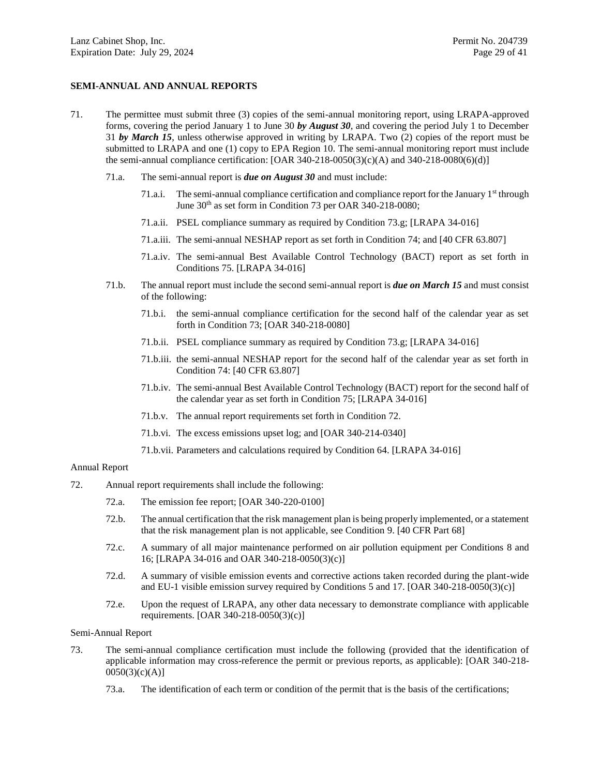### **SEMI-ANNUAL AND ANNUAL REPORTS**

- <span id="page-28-0"></span>71. The permittee must submit three (3) copies of the semi-annual monitoring report, using LRAPA-approved forms, covering the period January 1 to June 30 *by August 30*, and covering the period July 1 to December 31 *by March 15*, unless otherwise approved in writing by LRAPA. Two (2) copies of the report must be submitted to LRAPA and one (1) copy to EPA Region 10. The semi-annual monitoring report must include the semi-annual compliance certification:  $[OAR\ 340-218-0050(3)(c)(A)$  and  $340-218-0080(6)(d)]$ 
	- 71.a. The semi-annual report is *due on August 30* and must include:
		- 71.a.i. The semi-annual compliance certification and compliance report for the January 1<sup>st</sup> through June 30<sup>th</sup> as set form in Conditio[n 73](#page-28-1) per OAR 340-218-0080;
		- 71.a.ii. PSEL compliance summary as required by Condition [73.g;](#page-29-0) [LRAPA 34-016]
		- 71.a.iii. The semi-annual NESHAP report as set forth in Condition [74;](#page-29-1) and [40 CFR 63.807]
		- 71.a.iv. The semi-annual Best Available Control Technology (BACT) report as set forth in Conditions [75.](#page-30-0) [LRAPA 34-016]
	- 71.b. The annual report must include the second semi-annual report is *due on March 15* and must consist of the following:
		- 71.b.i. the semi-annual compliance certification for the second half of the calendar year as set forth in Conditio[n 73;](#page-28-1) [OAR 340-218-0080]
		- 71.b.ii. PSEL compliance summary as required by Condition [73.g;](#page-29-0) [LRAPA 34-016]
		- 71.b.iii. the semi-annual NESHAP report for the second half of the calendar year as set forth in Condition [74:](#page-29-1) [40 CFR 63.807]
		- 71.b.iv. The semi-annual Best Available Control Technology (BACT) report for the second half of the calendar year as set forth in Condition [75;](#page-30-0) [LRAPA 34-016]
		- 71.b.v. The annual report requirements set forth in Conditio[n 72.](#page-28-2)
		- 71.b.vi. The excess emissions upset log; and [OAR 340-214-0340]
		- 71.b.vii. Parameters and calculations required by Condition [64.](#page-24-1) [LRAPA 34-016]

#### Annual Report

- <span id="page-28-2"></span>72. Annual report requirements shall include the following:
	- 72.a. The emission fee report; [OAR 340-220-0100]
	- 72.b. The annual certification that the risk management plan is being properly implemented, or a statement that the risk management plan is not applicable, see Condition [9.](#page-6-6) [40 CFR Part 68]
	- 72.c. A summary of all major maintenance performed on air pollution equipment per Conditions [8](#page-6-5) and [16;](#page-10-3) [LRAPA 34-016 and OAR 340-218-0050(3)(c)]
	- 72.d. A summary of visible emission events and corrective actions taken recorded during the plant-wide and EU-1 visible emission survey required by Conditions [5](#page-6-2) an[d 17.](#page-11-0) [OAR 340-218-0050(3)(c)]
	- 72.e. Upon the request of LRAPA, any other data necessary to demonstrate compliance with applicable requirements. [OAR 340-218-0050(3)(c)]

Semi-Annual Report

- <span id="page-28-1"></span>73. The semi-annual compliance certification must include the following (provided that the identification of applicable information may cross-reference the permit or previous reports, as applicable): [OAR 340-218-  $0050(3)(c)(A)$ ]
	- 73.a. The identification of each term or condition of the permit that is the basis of the certifications;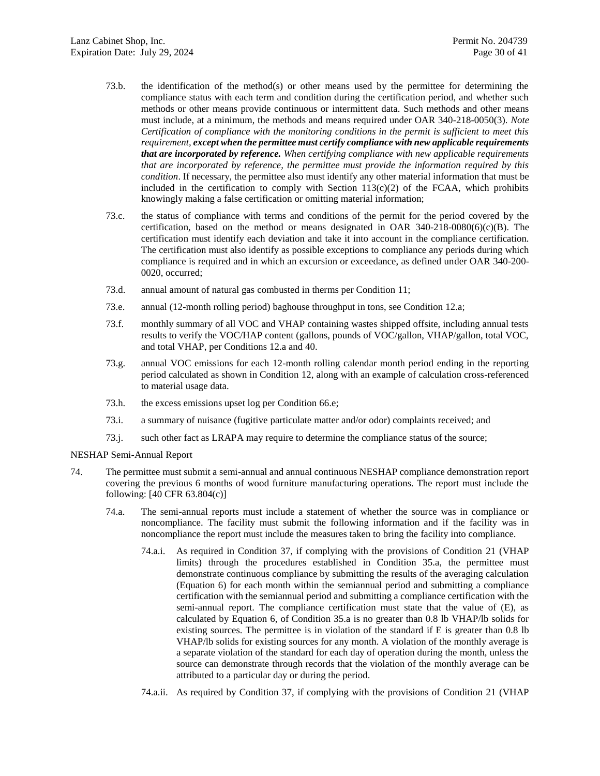- 73.b. the identification of the method(s) or other means used by the permittee for determining the compliance status with each term and condition during the certification period, and whether such methods or other means provide continuous or intermittent data. Such methods and other means must include, at a minimum, the methods and means required under OAR 340-218-0050(3). *Note Certification of compliance with the monitoring conditions in the permit is sufficient to meet this requirement, except when the permittee must certify compliance with new applicable requirements that are incorporated by reference. When certifying compliance with new applicable requirements that are incorporated by reference, the permittee must provide the information required by this condition*. If necessary, the permittee also must identify any other material information that must be included in the certification to comply with Section  $113(c)(2)$  of the FCAA, which prohibits knowingly making a false certification or omitting material information;
- 73.c. the status of compliance with terms and conditions of the permit for the period covered by the certification, based on the method or means designated in OAR  $340-218-0080(6)(c)(B)$ . The certification must identify each deviation and take it into account in the compliance certification. The certification must also identify as possible exceptions to compliance any periods during which compliance is required and in which an excursion or exceedance, as defined under OAR 340-200- 0020, occurred;
- 73.d. annual amount of natural gas combusted in therms per Condition [11;](#page-7-2)
- 73.e. annual (12-month rolling period) baghouse throughput in tons, see Condition [12.a;](#page-7-3)
- 73.f. monthly summary of all VOC and VHAP containing wastes shipped offsite, including annual tests results to verify the VOC/HAP content (gallons, pounds of VOC/gallon, VHAP/gallon, total VOC, and total VHAP, per Conditions [12.a](#page-7-3) an[d 40.](#page-19-0)
- <span id="page-29-0"></span>73.g. annual VOC emissions for each 12-month rolling calendar month period ending in the reporting period calculated as shown in Condition [12,](#page-7-1) along with an example of calculation cross-referenced to material usage data.
- 73.h. the excess emissions upset log per Condition [66.e;](#page-27-0)
- 73.i. a summary of nuisance (fugitive particulate matter and/or odor) complaints received; and
- 73.j. such other fact as LRAPA may require to determine the compliance status of the source;

NESHAP Semi-Annual Report

- <span id="page-29-1"></span>74. The permittee must submit a semi-annual and annual continuous NESHAP compliance demonstration report covering the previous 6 months of wood furniture manufacturing operations. The report must include the following: [40 CFR 63.804(c)]
	- 74.a. The semi-annual reports must include a statement of whether the source was in compliance or noncompliance. The facility must submit the following information and if the facility was in noncompliance the report must include the measures taken to bring the facility into compliance.
		- 74.a.i. As required in Condition [37,](#page-16-5) if complying with the provisions of Condition [21](#page-12-1) (VHAP limits) through the procedures established in Condition [35.a,](#page-16-1) the permittee must demonstrate continuous compliance by submitting the results of the averaging calculation (Equation 6) for each month within the semiannual period and submitting a compliance certification with the semiannual period and submitting a compliance certification with the semi-annual report. The compliance certification must state that the value of  $(E)$ , as calculated by Equation 6, of Condition [35.a](#page-16-1) is no greater than 0.8 lb VHAP/lb solids for existing sources. The permittee is in violation of the standard if E is greater than 0.8 lb VHAP/lb solids for existing sources for any month. A violation of the monthly average is a separate violation of the standard for each day of operation during the month, unless the source can demonstrate through records that the violation of the monthly average can be attributed to a particular day or during the period.
		- 74.a.ii. As required by Condition [37,](#page-16-5) if complying with the provisions of Condition [21](#page-12-1) (VHAP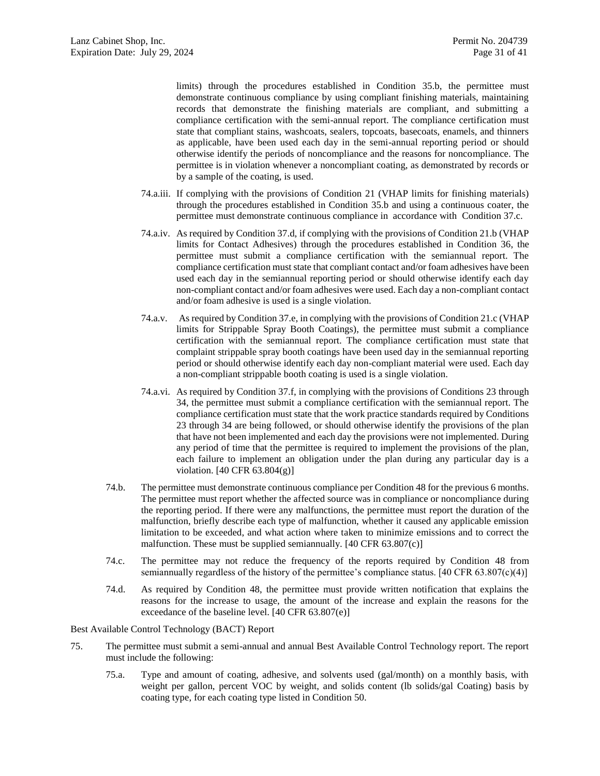limits) through the procedures established in Condition [35.b,](#page-16-2) the permittee must demonstrate continuous compliance by using compliant finishing materials, maintaining records that demonstrate the finishing materials are compliant, and submitting a compliance certification with the semi-annual report. The compliance certification must state that compliant stains, washcoats, sealers, topcoats, basecoats, enamels, and thinners as applicable, have been used each day in the semi-annual reporting period or should otherwise identify the periods of noncompliance and the reasons for noncompliance. The permittee is in violation whenever a noncompliant coating, as demonstrated by records or by a sample of the coating, is used.

- 74.a.iii. If complying with the provisions of Condition [21](#page-12-1) (VHAP limits for finishing materials) through the procedures established in Condition [35.b](#page-16-2) and using a continuous coater, the permittee must demonstrate continuous compliance in accordance with Condition [37.c.](#page-17-2)
- 74.a.iv. As required by Condition [37.d,](#page-18-4) if complying with the provisions of Condition [21.b](#page-12-3) (VHAP limits for Contact Adhesives) through the procedures established in Condition [36,](#page-16-0) the permittee must submit a compliance certification with the semiannual report. The compliance certification must state that compliant contact and/or foam adhesives have been used each day in the semiannual reporting period or should otherwise identify each day non-compliant contact and/or foam adhesives were used. Each day a non-compliant contact and/or foam adhesive is used is a single violation.
- 74.a.v. As required by Condition [37.e,](#page-18-5) in complying with the provisions of Conditio[n 21.c](#page-13-8) (VHAP limits for Strippable Spray Booth Coatings), the permittee must submit a compliance certification with the semiannual report. The compliance certification must state that complaint strippable spray booth coatings have been used day in the semiannual reporting period or should otherwise identify each day non-compliant material were used. Each day a non-compliant strippable booth coating is used is a single violation.
- 74.a.vi. As required by Condition [37.f,](#page-18-0) in complying with the provisions of Conditions [23](#page-13-1) through [34,](#page-15-2) the permittee must submit a compliance certification with the semiannual report. The compliance certification must state that the work practice standards required by Conditions [23](#page-13-1) through [34](#page-15-2) are being followed, or should otherwise identify the provisions of the plan that have not been implemented and each day the provisions were not implemented. During any period of time that the permittee is required to implement the provisions of the plan, each failure to implement an obligation under the plan during any particular day is a violation. [40 CFR 63.804(g)]
- 74.b. The permittee must demonstrate continuous compliance per Condition [48](#page-20-0) for the previous 6 months. The permittee must report whether the affected source was in compliance or noncompliance during the reporting period. If there were any malfunctions, the permittee must report the duration of the malfunction, briefly describe each type of malfunction, whether it caused any applicable emission limitation to be exceeded, and what action where taken to minimize emissions and to correct the malfunction. These must be supplied semiannually. [40 CFR 63.807(c)]
- 74.c. The permittee may not reduce the frequency of the reports required by Condition [48](#page-20-0) from semiannually regardless of the history of the permittee's compliance status.  $[40 \text{ CFR } 63.807(c)(4)]$
- 74.d. As required by Condition [48,](#page-20-0) the permittee must provide written notification that explains the reasons for the increase to usage, the amount of the increase and explain the reasons for the exceedance of the baseline level. [40 CFR 63.807(e)]

Best Available Control Technology (BACT) Report

- <span id="page-30-0"></span>75. The permittee must submit a semi-annual and annual Best Available Control Technology report. The report must include the following:
	- 75.a. Type and amount of coating, adhesive, and solvents used (gal/month) on a monthly basis, with weight per gallon, percent VOC by weight, and solids content (lb solids/gal Coating) basis by coating type, for each coating type listed in Conditio[n 50.](#page-21-1)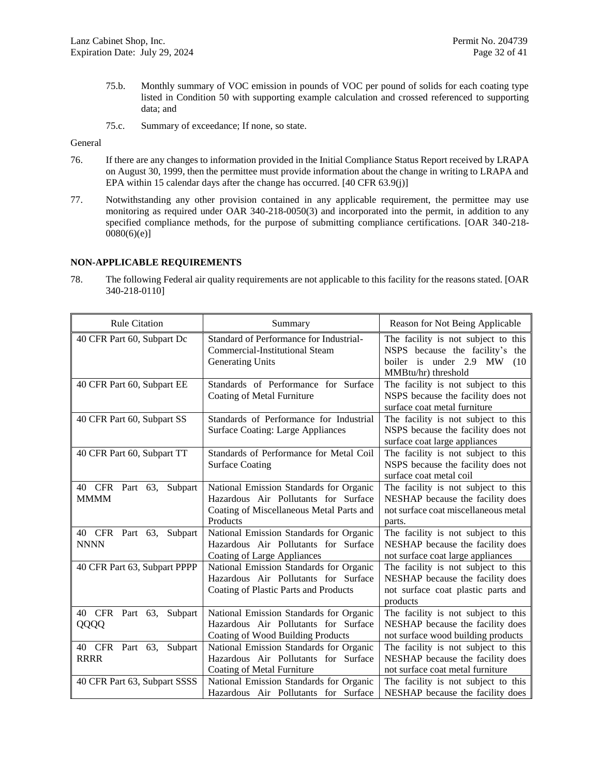- 75.b. Monthly summary of VOC emission in pounds of VOC per pound of solids for each coating type listed in Condition [50](#page-21-1) with supporting example calculation and crossed referenced to supporting data; and
- 75.c. Summary of exceedance; If none, so state.

General

- 76. If there are any changes to information provided in the Initial Compliance Status Report received by LRAPA on August 30, 1999, then the permittee must provide information about the change in writing to LRAPA and EPA within 15 calendar days after the change has occurred. [40 CFR 63.9(j)]
- 77. Notwithstanding any other provision contained in any applicable requirement, the permittee may use monitoring as required under OAR 340-218-0050(3) and incorporated into the permit, in addition to any specified compliance methods, for the purpose of submitting compliance certifications. [OAR 340-218-  $0080(6)(e)$ ]

### **NON-APPLICABLE REQUIREMENTS**

78. The following Federal air quality requirements are not applicable to this facility for the reasons stated. [OAR 340-218-0110]

| <b>Rule Citation</b>                      | Summary                                                                                                                                 | Reason for Not Being Applicable                                                                                                 |
|-------------------------------------------|-----------------------------------------------------------------------------------------------------------------------------------------|---------------------------------------------------------------------------------------------------------------------------------|
| 40 CFR Part 60, Subpart Dc                | Standard of Performance for Industrial-<br><b>Commercial-Institutional Steam</b><br><b>Generating Units</b>                             | The facility is not subject to this<br>NSPS because the facility's the<br>boiler is under 2.9 MW<br>(10)<br>MMBtu/hr) threshold |
| 40 CFR Part 60, Subpart EE                | Standards of Performance for Surface<br>Coating of Metal Furniture                                                                      | The facility is not subject to this<br>NSPS because the facility does not<br>surface coat metal furniture                       |
| 40 CFR Part 60, Subpart SS                | Standards of Performance for Industrial<br><b>Surface Coating: Large Appliances</b>                                                     | The facility is not subject to this<br>NSPS because the facility does not<br>surface coat large appliances                      |
| 40 CFR Part 60, Subpart TT                | Standards of Performance for Metal Coil<br><b>Surface Coating</b>                                                                       | The facility is not subject to this<br>NSPS because the facility does not<br>surface coat metal coil                            |
| 40 CFR Part 63,<br>Subpart<br><b>MMMM</b> | National Emission Standards for Organic<br>Hazardous Air Pollutants for Surface<br>Coating of Miscellaneous Metal Parts and<br>Products | The facility is not subject to this<br>NESHAP because the facility does<br>not surface coat miscellaneous metal<br>parts.       |
| 40 CFR Part 63,<br>Subpart<br><b>NNNN</b> | National Emission Standards for Organic<br>Hazardous Air Pollutants for Surface<br>Coating of Large Appliances                          | The facility is not subject to this<br>NESHAP because the facility does<br>not surface coat large appliances                    |
| 40 CFR Part 63, Subpart PPPP              | National Emission Standards for Organic<br>Hazardous Air Pollutants for Surface<br>Coating of Plastic Parts and Products                | The facility is not subject to this<br>NESHAP because the facility does<br>not surface coat plastic parts and<br>products       |
| CFR Part<br>63,<br>Subpart<br>40<br>QQQQ  | National Emission Standards for Organic<br>Hazardous Air Pollutants for Surface<br>Coating of Wood Building Products                    | The facility is not subject to this<br>NESHAP because the facility does<br>not surface wood building products                   |
| 40 CFR Part 63, Subpart<br><b>RRRR</b>    | National Emission Standards for Organic<br>Hazardous Air Pollutants for Surface<br>Coating of Metal Furniture                           | The facility is not subject to this<br>NESHAP because the facility does<br>not surface coat metal furniture                     |
| 40 CFR Part 63, Subpart SSSS              | National Emission Standards for Organic<br>Hazardous Air Pollutants for Surface                                                         | The facility is not subject to this<br>NESHAP because the facility does                                                         |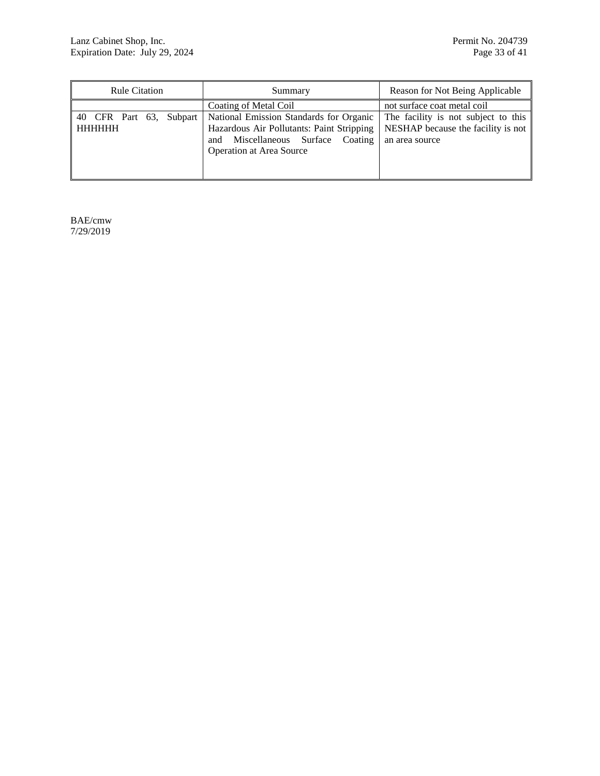| <b>Rule Citation</b>              | Summary                                                                                                                                                            | Reason for Not Being Applicable                                                             |
|-----------------------------------|--------------------------------------------------------------------------------------------------------------------------------------------------------------------|---------------------------------------------------------------------------------------------|
|                                   | <b>Coating of Metal Coil</b>                                                                                                                                       |                                                                                             |
| 40 CFR Part 63, Subpart<br>HHHHHH | National Emission Standards for Organic<br>Hazardous Air Pollutants: Paint Stripping<br>Miscellaneous Surface<br>Coating<br>and<br><b>Operation at Area Source</b> | The facility is not subject to this<br>NESHAP because the facility is not<br>an area source |

BAE/cmw 7/29/2019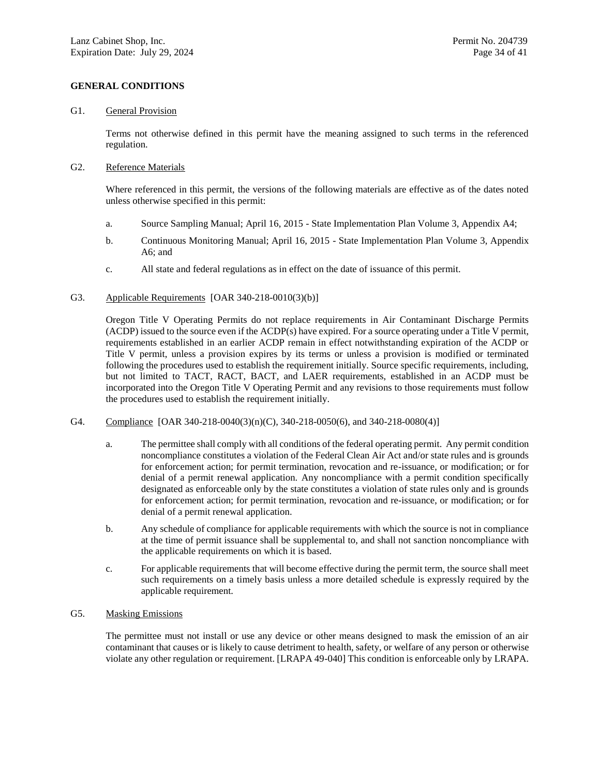## **GENERAL CONDITIONS**

#### G1. General Provision

Terms not otherwise defined in this permit have the meaning assigned to such terms in the referenced regulation.

### G2. Reference Materials

Where referenced in this permit, the versions of the following materials are effective as of the dates noted unless otherwise specified in this permit:

- a. Source Sampling Manual; April 16, 2015 State Implementation Plan Volume 3, Appendix A4;
- b. Continuous Monitoring Manual; April 16, 2015 State Implementation Plan Volume 3, Appendix A6; and
- c. All state and federal regulations as in effect on the date of issuance of this permit.

### G3. Applicable Requirements [OAR 340-218-0010(3)(b)]

Oregon Title V Operating Permits do not replace requirements in Air Contaminant Discharge Permits (ACDP) issued to the source even if the ACDP(s) have expired. For a source operating under a Title V permit, requirements established in an earlier ACDP remain in effect notwithstanding expiration of the ACDP or Title V permit, unless a provision expires by its terms or unless a provision is modified or terminated following the procedures used to establish the requirement initially. Source specific requirements, including, but not limited to TACT, RACT, BACT, and LAER requirements, established in an ACDP must be incorporated into the Oregon Title V Operating Permit and any revisions to those requirements must follow the procedures used to establish the requirement initially.

- G4. Compliance [OAR 340-218-0040(3)(n)(C), 340-218-0050(6), and 340-218-0080(4)]
	- a. The permittee shall comply with all conditions of the federal operating permit. Any permit condition noncompliance constitutes a violation of the Federal Clean Air Act and/or state rules and is grounds for enforcement action; for permit termination, revocation and re-issuance, or modification; or for denial of a permit renewal application. Any noncompliance with a permit condition specifically designated as enforceable only by the state constitutes a violation of state rules only and is grounds for enforcement action; for permit termination, revocation and re-issuance, or modification; or for denial of a permit renewal application.
	- b. Any schedule of compliance for applicable requirements with which the source is not in compliance at the time of permit issuance shall be supplemental to, and shall not sanction noncompliance with the applicable requirements on which it is based.
	- c. For applicable requirements that will become effective during the permit term, the source shall meet such requirements on a timely basis unless a more detailed schedule is expressly required by the applicable requirement.

### <span id="page-33-0"></span>G5. Masking Emissions

The permittee must not install or use any device or other means designed to mask the emission of an air contaminant that causes or is likely to cause detriment to health, safety, or welfare of any person or otherwise violate any other regulation or requirement. [LRAPA 49-040] This condition is enforceable only by LRAPA.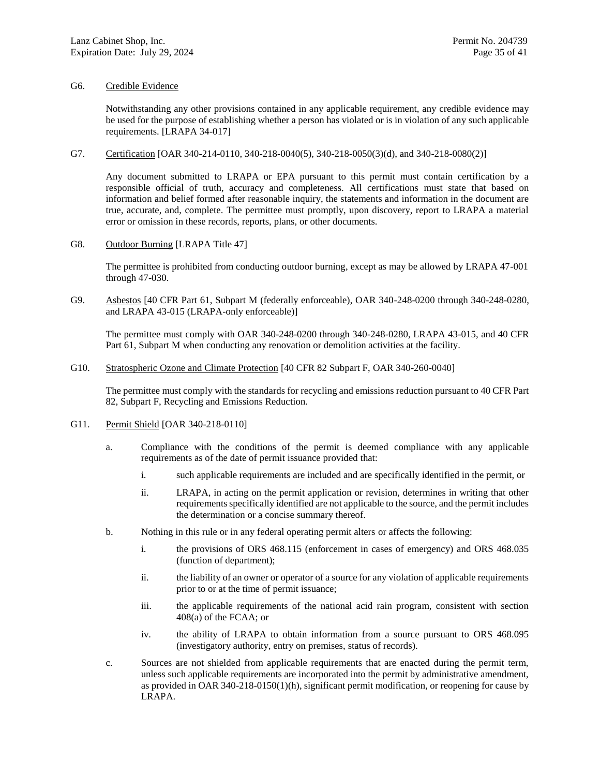### G6. Credible Evidence

Notwithstanding any other provisions contained in any applicable requirement, any credible evidence may be used for the purpose of establishing whether a person has violated or is in violation of any such applicable requirements. [LRAPA 34-017]

#### G7. Certification [OAR 340-214-0110, 340-218-0040(5), 340-218-0050(3)(d), and 340-218-0080(2)]

Any document submitted to LRAPA or EPA pursuant to this permit must contain certification by a responsible official of truth, accuracy and completeness. All certifications must state that based on information and belief formed after reasonable inquiry, the statements and information in the document are true, accurate, and, complete. The permittee must promptly, upon discovery, report to LRAPA a material error or omission in these records, reports, plans, or other documents.

G8. Outdoor Burning [LRAPA Title 47]

The permittee is prohibited from conducting outdoor burning, except as may be allowed by LRAPA 47-001 through 47-030.

<span id="page-34-0"></span>G9. Asbestos [40 CFR Part 61, Subpart M (federally enforceable), OAR 340-248-0200 through 340-248-0280, and LRAPA 43-015 (LRAPA-only enforceable)]

The permittee must comply with OAR 340-248-0200 through 340-248-0280, LRAPA 43-015, and 40 CFR Part 61, Subpart M when conducting any renovation or demolition activities at the facility.

#### G10. Stratospheric Ozone and Climate Protection [40 CFR 82 Subpart F, OAR 340-260-0040]

The permittee must comply with the standards for recycling and emissions reduction pursuant to 40 CFR Part 82, Subpart F, Recycling and Emissions Reduction.

#### G11. Permit Shield [OAR 340-218-0110]

- a. Compliance with the conditions of the permit is deemed compliance with any applicable requirements as of the date of permit issuance provided that:
	- i. such applicable requirements are included and are specifically identified in the permit, or
	- ii. LRAPA, in acting on the permit application or revision, determines in writing that other requirements specifically identified are not applicable to the source, and the permit includes the determination or a concise summary thereof.
- b. Nothing in this rule or in any federal operating permit alters or affects the following:
	- i. the provisions of ORS 468.115 (enforcement in cases of emergency) and ORS 468.035 (function of department);
	- ii. the liability of an owner or operator of a source for any violation of applicable requirements prior to or at the time of permit issuance;
	- iii. the applicable requirements of the national acid rain program, consistent with section 408(a) of the FCAA; or
	- iv. the ability of LRAPA to obtain information from a source pursuant to ORS 468.095 (investigatory authority, entry on premises, status of records).
- c. Sources are not shielded from applicable requirements that are enacted during the permit term, unless such applicable requirements are incorporated into the permit by administrative amendment, as provided in OAR 340-218-0150(1)(h), significant permit modification, or reopening for cause by LRAPA.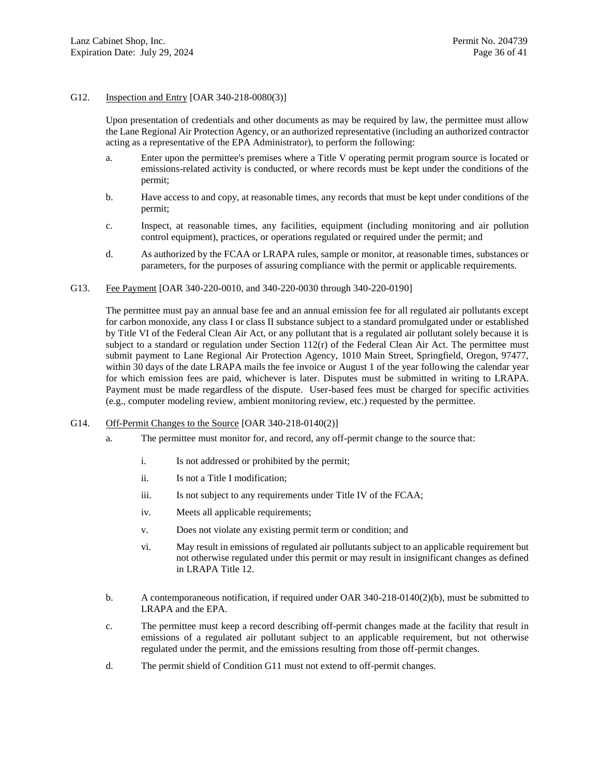#### G12. Inspection and Entry [OAR 340-218-0080(3)]

Upon presentation of credentials and other documents as may be required by law, the permittee must allow the Lane Regional Air Protection Agency, or an authorized representative (including an authorized contractor acting as a representative of the EPA Administrator), to perform the following:

- a. Enter upon the permittee's premises where a Title V operating permit program source is located or emissions-related activity is conducted, or where records must be kept under the conditions of the permit;
- b. Have access to and copy, at reasonable times, any records that must be kept under conditions of the permit;
- c. Inspect, at reasonable times, any facilities, equipment (including monitoring and air pollution control equipment), practices, or operations regulated or required under the permit; and
- d. As authorized by the FCAA or LRAPA rules, sample or monitor, at reasonable times, substances or parameters, for the purposes of assuring compliance with the permit or applicable requirements.
- G13. Fee Payment [OAR 340-220-0010, and 340-220-0030 through 340-220-0190]

The permittee must pay an annual base fee and an annual emission fee for all regulated air pollutants except for carbon monoxide, any class I or class II substance subject to a standard promulgated under or established by Title VI of the Federal Clean Air Act, or any pollutant that is a regulated air pollutant solely because it is subject to a standard or regulation under Section 112(r) of the Federal Clean Air Act. The permittee must submit payment to Lane Regional Air Protection Agency, 1010 Main Street, Springfield, Oregon, 97477, within 30 days of the date LRAPA mails the fee invoice or August 1 of the year following the calendar year for which emission fees are paid, whichever is later. Disputes must be submitted in writing to LRAPA. Payment must be made regardless of the dispute. User-based fees must be charged for specific activities (e.g., computer modeling review, ambient monitoring review, etc.) requested by the permittee.

#### G14. Off-Permit Changes to the Source [OAR 340-218-0140(2)]

- a. The permittee must monitor for, and record, any off-permit change to the source that:
	- i. Is not addressed or prohibited by the permit;
	- ii. Is not a Title I modification;
	- iii. Is not subject to any requirements under Title IV of the FCAA;
	- iv. Meets all applicable requirements;
	- v. Does not violate any existing permit term or condition; and
	- vi. May result in emissions of regulated air pollutants subject to an applicable requirement but not otherwise regulated under this permit or may result in insignificant changes as defined in LRAPA Title 12.
- b. A contemporaneous notification, if required under OAR 340-218-0140(2)(b), must be submitted to LRAPA and the EPA.
- c. The permittee must keep a record describing off-permit changes made at the facility that result in emissions of a regulated air pollutant subject to an applicable requirement, but not otherwise regulated under the permit, and the emissions resulting from those off-permit changes.
- d. The permit shield of Condition G11 must not extend to off-permit changes.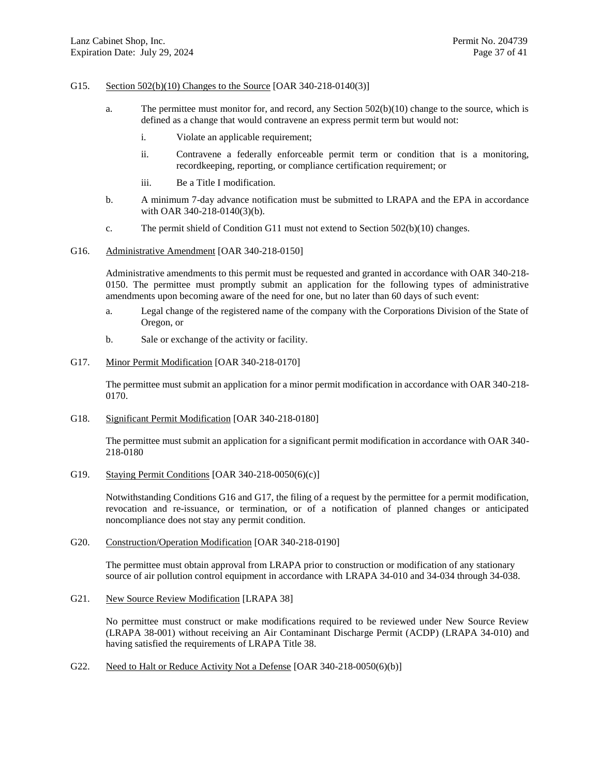#### G15. Section 502(b)(10) Changes to the Source [OAR 340-218-0140(3)]

- a. The permittee must monitor for, and record, any Section 502(b)(10) change to the source, which is defined as a change that would contravene an express permit term but would not:
	- i. Violate an applicable requirement;
	- ii. Contravene a federally enforceable permit term or condition that is a monitoring, recordkeeping, reporting, or compliance certification requirement; or
	- iii. Be a Title I modification.
- b. A minimum 7-day advance notification must be submitted to LRAPA and the EPA in accordance with OAR 340-218-0140(3)(b).
- c. The permit shield of Condition G11 must not extend to Section 502(b)(10) changes.

#### G16. Administrative Amendment [OAR 340-218-0150]

Administrative amendments to this permit must be requested and granted in accordance with OAR 340-218- 0150. The permittee must promptly submit an application for the following types of administrative amendments upon becoming aware of the need for one, but no later than 60 days of such event:

- a. Legal change of the registered name of the company with the Corporations Division of the State of Oregon, or
- b. Sale or exchange of the activity or facility.

### G17. Minor Permit Modification [OAR 340-218-0170]

The permittee must submit an application for a minor permit modification in accordance with OAR 340-218- 0170.

G18. Significant Permit Modification [OAR 340-218-0180]

The permittee must submit an application for a significant permit modification in accordance with OAR 340- 218-0180

G19. Staying Permit Conditions [OAR 340-218-0050(6)(c)]

Notwithstanding Conditions G16 and G17, the filing of a request by the permittee for a permit modification, revocation and re-issuance, or termination, or of a notification of planned changes or anticipated noncompliance does not stay any permit condition.

G20. Construction/Operation Modification [OAR 340-218-0190]

The permittee must obtain approval from LRAPA prior to construction or modification of any stationary source of air pollution control equipment in accordance with LRAPA 34-010 and 34-034 through 34-038.

G21. New Source Review Modification [LRAPA 38]

No permittee must construct or make modifications required to be reviewed under New Source Review (LRAPA 38-001) without receiving an Air Contaminant Discharge Permit (ACDP) (LRAPA 34-010) and having satisfied the requirements of LRAPA Title 38.

G22. Need to Halt or Reduce Activity Not a Defense [OAR 340-218-0050(6)(b)]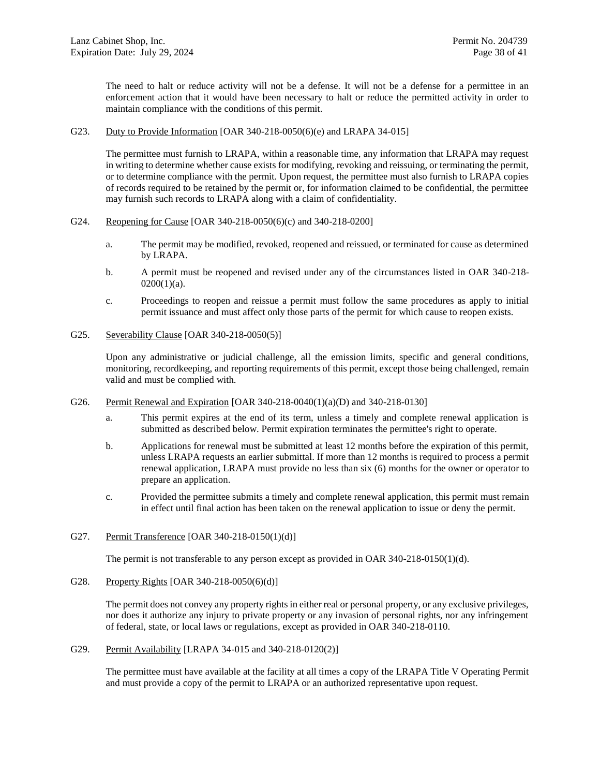The need to halt or reduce activity will not be a defense. It will not be a defense for a permittee in an enforcement action that it would have been necessary to halt or reduce the permitted activity in order to maintain compliance with the conditions of this permit.

G23. Duty to Provide Information [OAR 340-218-0050(6)(e) and LRAPA 34-015]

The permittee must furnish to LRAPA, within a reasonable time, any information that LRAPA may request in writing to determine whether cause exists for modifying, revoking and reissuing, or terminating the permit, or to determine compliance with the permit. Upon request, the permittee must also furnish to LRAPA copies of records required to be retained by the permit or, for information claimed to be confidential, the permittee may furnish such records to LRAPA along with a claim of confidentiality.

- G24. Reopening for Cause [OAR 340-218-0050(6)(c) and 340-218-0200]
	- a. The permit may be modified, revoked, reopened and reissued, or terminated for cause as determined by LRAPA.
	- b. A permit must be reopened and revised under any of the circumstances listed in OAR 340-218-  $0200(1)(a)$ .
	- c. Proceedings to reopen and reissue a permit must follow the same procedures as apply to initial permit issuance and must affect only those parts of the permit for which cause to reopen exists.
- G25. Severability Clause [OAR 340-218-0050(5)]

Upon any administrative or judicial challenge, all the emission limits, specific and general conditions, monitoring, recordkeeping, and reporting requirements of this permit, except those being challenged, remain valid and must be complied with.

- G26. Permit Renewal and Expiration [OAR 340-218-0040(1)(a)(D) and 340-218-0130]
	- a. This permit expires at the end of its term, unless a timely and complete renewal application is submitted as described below. Permit expiration terminates the permittee's right to operate.
	- b. Applications for renewal must be submitted at least 12 months before the expiration of this permit, unless LRAPA requests an earlier submittal. If more than 12 months is required to process a permit renewal application, LRAPA must provide no less than six (6) months for the owner or operator to prepare an application.
	- c. Provided the permittee submits a timely and complete renewal application, this permit must remain in effect until final action has been taken on the renewal application to issue or deny the permit.
- G27. Permit Transference [OAR 340-218-0150(1)(d)]

The permit is not transferable to any person except as provided in OAR 340-218-0150(1)(d).

G28. Property Rights [OAR 340-218-0050(6)(d)]

The permit does not convey any property rights in either real or personal property, or any exclusive privileges, nor does it authorize any injury to private property or any invasion of personal rights, nor any infringement of federal, state, or local laws or regulations, except as provided in OAR 340-218-0110.

G29. Permit Availability [LRAPA 34-015 and 340-218-0120(2)]

The permittee must have available at the facility at all times a copy of the LRAPA Title V Operating Permit and must provide a copy of the permit to LRAPA or an authorized representative upon request.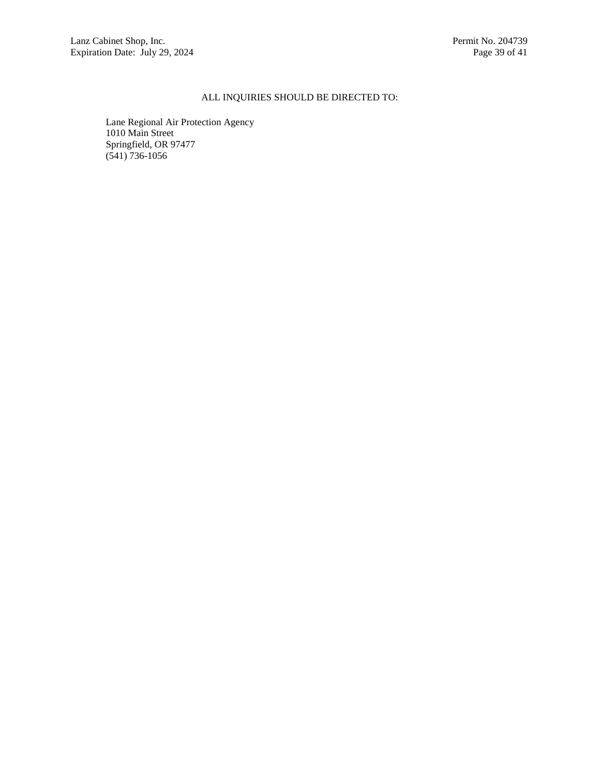# ALL INQUIRIES SHOULD BE DIRECTED TO:

Lane Regional Air Protection Agency 1010 Main Street Springfield, OR 97477 (541) 736-1056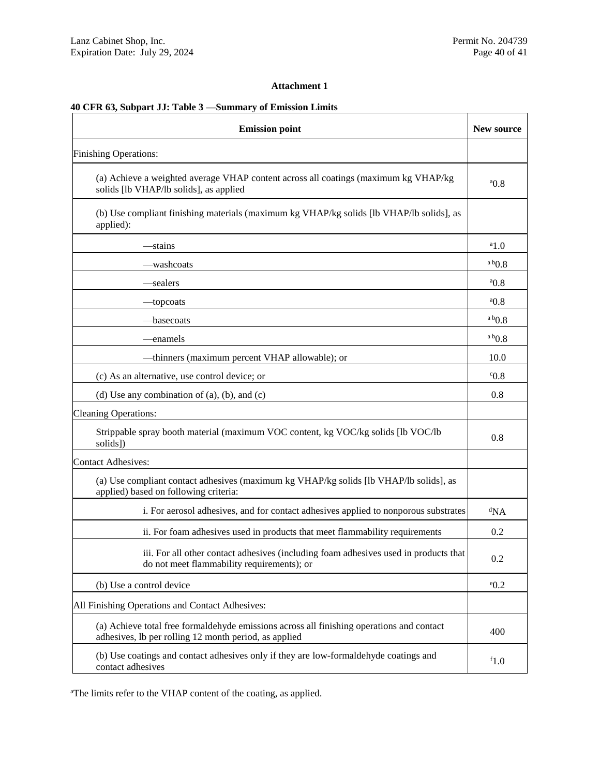### **Attachment 1**

# **40 CFR 63, Subpart JJ: Table 3 —Summary of Emission Limits**

| <b>Emission point</b>                                                                                                                              | New source           |  |  |
|----------------------------------------------------------------------------------------------------------------------------------------------------|----------------------|--|--|
| <b>Finishing Operations:</b>                                                                                                                       |                      |  |  |
| (a) Achieve a weighted average VHAP content across all coatings (maximum kg VHAP/kg<br>solids [lb VHAP/lb solids], as applied                      | ${}^{a}$ 0.8         |  |  |
| (b) Use compliant finishing materials (maximum kg VHAP/kg solids [lb VHAP/lb solids], as<br>applied):                                              |                      |  |  |
| —stains                                                                                                                                            | $a_{1.0}$            |  |  |
| -washcoats                                                                                                                                         | $a b$ <sub>0.8</sub> |  |  |
| —sealers                                                                                                                                           | 0.8                  |  |  |
| —topcoats                                                                                                                                          | 0.8                  |  |  |
| —basecoats                                                                                                                                         | $a b$ <sub>0.8</sub> |  |  |
| —enamels                                                                                                                                           | a b0.8               |  |  |
| -thinners (maximum percent VHAP allowable); or                                                                                                     | 10.0                 |  |  |
| (c) As an alternative, use control device; or                                                                                                      | $^{\circ}0.8$        |  |  |
| (d) Use any combination of $(a)$ , $(b)$ , and $(c)$                                                                                               |                      |  |  |
| <b>Cleaning Operations:</b>                                                                                                                        |                      |  |  |
| Strippable spray booth material (maximum VOC content, kg VOC/kg solids [lb VOC/lb<br>solids])                                                      | 0.8                  |  |  |
| <b>Contact Adhesives:</b>                                                                                                                          |                      |  |  |
| (a) Use compliant contact adhesives (maximum kg VHAP/kg solids [lb VHAP/lb solids], as<br>applied) based on following criteria:                    |                      |  |  |
| i. For aerosol adhesives, and for contact adhesives applied to nonporous substrates                                                                | dNA                  |  |  |
| ii. For foam adhesives used in products that meet flammability requirements                                                                        | 0.2                  |  |  |
| iii. For all other contact adhesives (including foam adhesives used in products that<br>do not meet flammability requirements); or                 | 0.2                  |  |  |
| (b) Use a control device                                                                                                                           |                      |  |  |
| All Finishing Operations and Contact Adhesives:                                                                                                    |                      |  |  |
| (a) Achieve total free formaldehyde emissions across all finishing operations and contact<br>adhesives, lb per rolling 12 month period, as applied | 400                  |  |  |
| (b) Use coatings and contact adhesives only if they are low-formaldehyde coatings and<br>contact adhesives                                         | $f_{1.0}$            |  |  |

aThe limits refer to the VHAP content of the coating, as applied.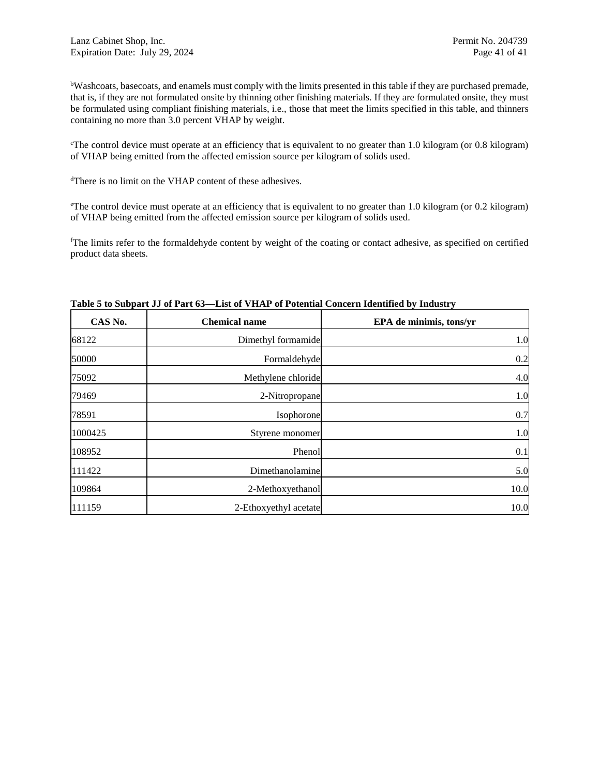bWashcoats, basecoats, and enamels must comply with the limits presented in this table if they are purchased premade, that is, if they are not formulated onsite by thinning other finishing materials. If they are formulated onsite, they must be formulated using compliant finishing materials, i.e., those that meet the limits specified in this table, and thinners containing no more than 3.0 percent VHAP by weight.

<sup>c</sup>The control device must operate at an efficiency that is equivalent to no greater than 1.0 kilogram (or 0.8 kilogram) of VHAP being emitted from the affected emission source per kilogram of solids used.

<sup>d</sup>There is no limit on the VHAP content of these adhesives.

<sup>e</sup>The control device must operate at an efficiency that is equivalent to no greater than 1.0 kilogram (or 0.2 kilogram) of VHAP being emitted from the affected emission source per kilogram of solids used.

<sup>f</sup>The limits refer to the formaldehyde content by weight of the coating or contact adhesive, as specified on certified product data sheets.

| CAS No. | <b>Chemical name</b>  | EPA de minimis, tons/yr |
|---------|-----------------------|-------------------------|
| 68122   | Dimethyl formamide    | 1.0                     |
| 50000   | Formaldehyde          | 0.2                     |
| 75092   | Methylene chloride    | 4.0                     |
| 79469   | 2-Nitropropane        | 1.0                     |
| 78591   | Isophorone            | 0.7                     |
| 1000425 | Styrene monomer       | 1.0                     |
| 108952  | Phenol                | 0.1                     |
| 111422  | Dimethanolamine       | 5.0                     |
| 109864  | 2-Methoxyethanol      | 10.0                    |
| 111159  | 2-Ethoxyethyl acetate | 10.0                    |

### **Table 5 to Subpart JJ of Part 63—List of VHAP of Potential Concern Identified by Industry**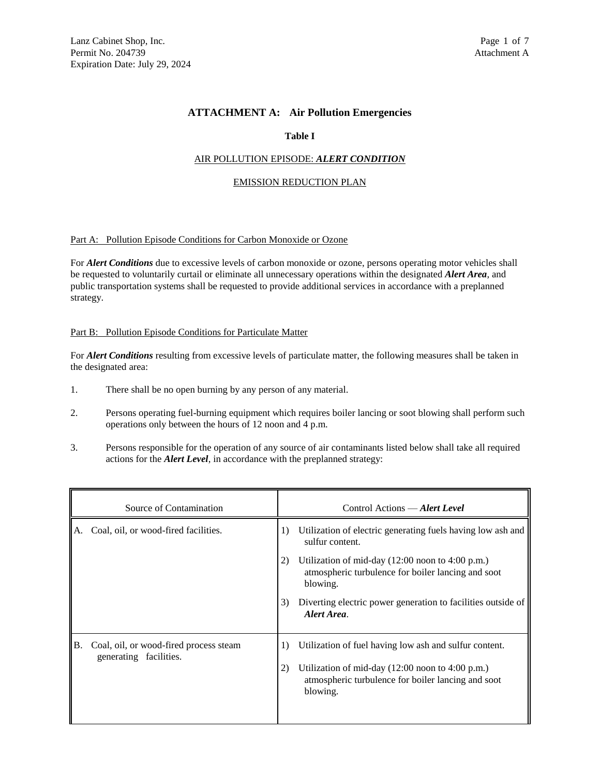# **ATTACHMENT A: Air Pollution Emergencies**

### **Table I**

### AIR POLLUTION EPISODE: *ALERT CONDITION*

#### EMISSION REDUCTION PLAN

### Part A: Pollution Episode Conditions for Carbon Monoxide or Ozone

For *Alert Conditions* due to excessive levels of carbon monoxide or ozone, persons operating motor vehicles shall be requested to voluntarily curtail or eliminate all unnecessary operations within the designated *Alert Area*, and public transportation systems shall be requested to provide additional services in accordance with a preplanned strategy.

#### Part B: Pollution Episode Conditions for Particulate Matter

For *Alert Conditions* resulting from excessive levels of particulate matter, the following measures shall be taken in the designated area:

- 1. There shall be no open burning by any person of any material.
- 2. Persons operating fuel-burning equipment which requires boiler lancing or soot blowing shall perform such operations only between the hours of 12 noon and 4 p.m.
- 3. Persons responsible for the operation of any source of air contaminants listed below shall take all required actions for the *Alert Level*, in accordance with the preplanned strategy:

| Source of Contamination |                                                                  | Control Actions — Alert Level |                                                                                                                                                                                                 |  |
|-------------------------|------------------------------------------------------------------|-------------------------------|-------------------------------------------------------------------------------------------------------------------------------------------------------------------------------------------------|--|
| A.                      | Coal, oil, or wood-fired facilities.                             | 1)                            | Utilization of electric generating fuels having low ash and<br>sulfur content.                                                                                                                  |  |
|                         |                                                                  | 2)                            | Utilization of mid-day $(12:00 \text{ noon to } 4:00 \text{ p.m.})$<br>atmospheric turbulence for boiler lancing and soot<br>blowing.                                                           |  |
|                         |                                                                  | 3)                            | Diverting electric power generation to facilities outside of<br>Alert Area.                                                                                                                     |  |
| B.                      | Coal, oil, or wood-fired process steam<br>generating facilities. | $_{1}$<br>2)                  | Utilization of fuel having low ash and sulfur content.<br>Utilization of mid-day $(12:00 \text{ noon to } 4:00 \text{ p.m.})$<br>atmospheric turbulence for boiler lancing and soot<br>blowing. |  |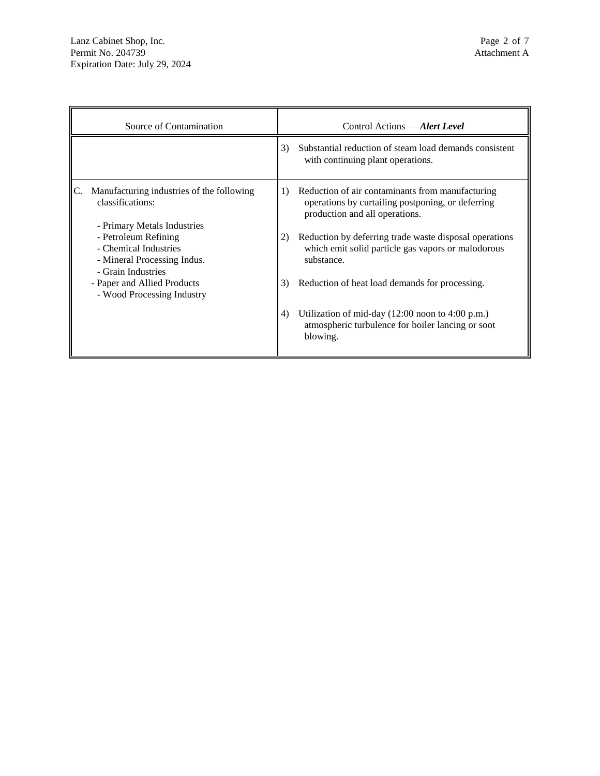| Source of Contamination                                                                            |    | Control Actions — Alert Level                                                                                                           |
|----------------------------------------------------------------------------------------------------|----|-----------------------------------------------------------------------------------------------------------------------------------------|
|                                                                                                    | 3) | Substantial reduction of steam load demands consistent<br>with continuing plant operations.                                             |
| Manufacturing industries of the following<br>classifications:<br>- Primary Metals Industries       | 1) | Reduction of air contaminants from manufacturing<br>operations by curtailing postponing, or deferring<br>production and all operations. |
| - Petroleum Refining<br>- Chemical Industries<br>- Mineral Processing Indus.<br>- Grain Industries | 2) | Reduction by deferring trade waste disposal operations<br>which emit solid particle gas vapors or malodorous<br>substance.              |
| - Paper and Allied Products<br>- Wood Processing Industry                                          | 3) | Reduction of heat load demands for processing.                                                                                          |
|                                                                                                    | 4) | Utilization of mid-day $(12:00 \text{ noon to } 4:00 \text{ p.m.})$<br>atmospheric turbulence for boiler lancing or soot<br>blowing.    |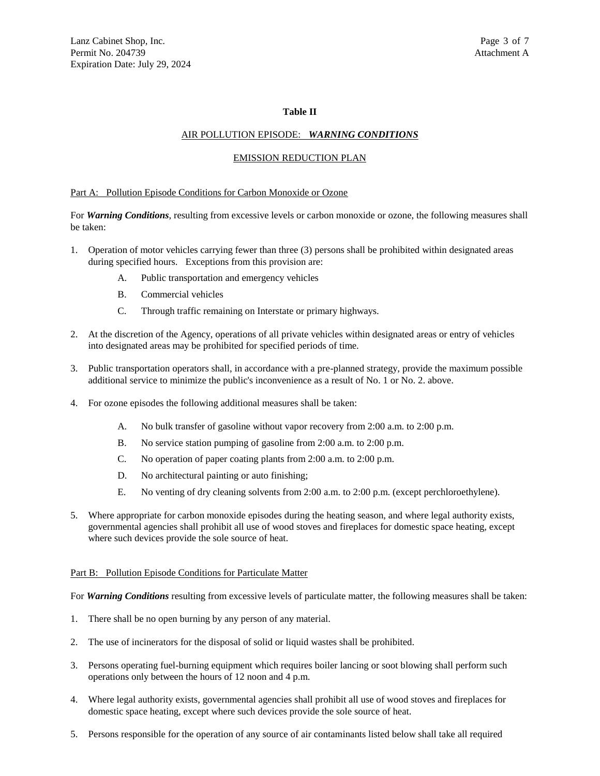### **Table II**

### AIR POLLUTION EPISODE: *WARNING CONDITIONS*

#### EMISSION REDUCTION PLAN

#### Part A: Pollution Episode Conditions for Carbon Monoxide or Ozone

For *Warning Conditions*, resulting from excessive levels or carbon monoxide or ozone, the following measures shall be taken:

- 1. Operation of motor vehicles carrying fewer than three (3) persons shall be prohibited within designated areas during specified hours. Exceptions from this provision are:
	- A. Public transportation and emergency vehicles
	- B. Commercial vehicles
	- C. Through traffic remaining on Interstate or primary highways.
- 2. At the discretion of the Agency, operations of all private vehicles within designated areas or entry of vehicles into designated areas may be prohibited for specified periods of time.
- 3. Public transportation operators shall, in accordance with a pre-planned strategy, provide the maximum possible additional service to minimize the public's inconvenience as a result of No. 1 or No. 2. above.
- 4. For ozone episodes the following additional measures shall be taken:
	- A. No bulk transfer of gasoline without vapor recovery from 2:00 a.m. to 2:00 p.m.
	- B. No service station pumping of gasoline from 2:00 a.m. to 2:00 p.m.
	- C. No operation of paper coating plants from 2:00 a.m. to 2:00 p.m.
	- D. No architectural painting or auto finishing;
	- E. No venting of dry cleaning solvents from 2:00 a.m. to 2:00 p.m. (except perchloroethylene).
- 5. Where appropriate for carbon monoxide episodes during the heating season, and where legal authority exists, governmental agencies shall prohibit all use of wood stoves and fireplaces for domestic space heating, except where such devices provide the sole source of heat.

#### Part B: Pollution Episode Conditions for Particulate Matter

For *Warning Conditions* resulting from excessive levels of particulate matter, the following measures shall be taken:

- 1. There shall be no open burning by any person of any material.
- 2. The use of incinerators for the disposal of solid or liquid wastes shall be prohibited.
- 3. Persons operating fuel-burning equipment which requires boiler lancing or soot blowing shall perform such operations only between the hours of 12 noon and 4 p.m.
- 4. Where legal authority exists, governmental agencies shall prohibit all use of wood stoves and fireplaces for domestic space heating, except where such devices provide the sole source of heat.
- 5. Persons responsible for the operation of any source of air contaminants listed below shall take all required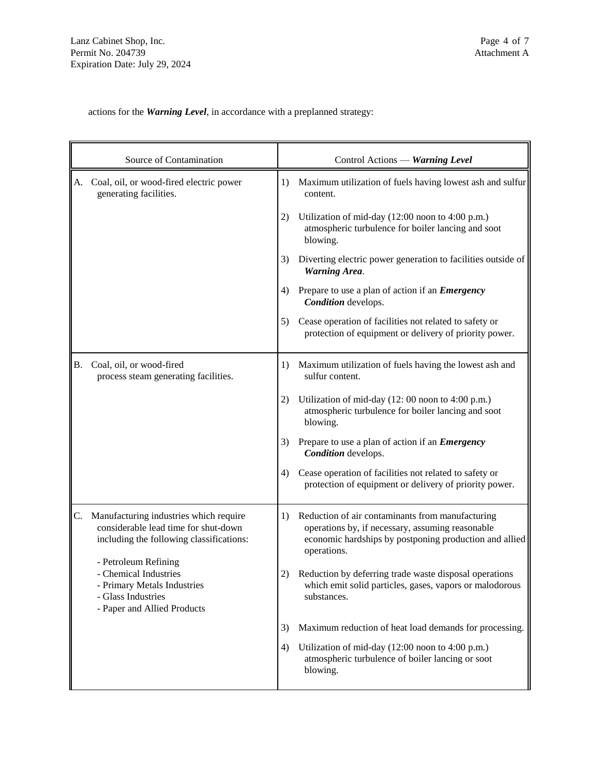actions for the *Warning Level*, in accordance with a preplanned strategy:

|           | Source of Contamination                                                                                                           |    | Control Actions — Warning Level                                                                                                                                               |
|-----------|-----------------------------------------------------------------------------------------------------------------------------------|----|-------------------------------------------------------------------------------------------------------------------------------------------------------------------------------|
| А.        | Coal, oil, or wood-fired electric power<br>generating facilities.                                                                 | 1) | Maximum utilization of fuels having lowest ash and sulfur<br>content.                                                                                                         |
|           |                                                                                                                                   | 2) | Utilization of mid-day (12:00 noon to 4:00 p.m.)<br>atmospheric turbulence for boiler lancing and soot<br>blowing.                                                            |
|           |                                                                                                                                   | 3) | Diverting electric power generation to facilities outside of<br><b>Warning Area.</b>                                                                                          |
|           |                                                                                                                                   | 4) | Prepare to use a plan of action if an <i>Emergency</i><br>Condition develops.                                                                                                 |
|           |                                                                                                                                   | 5) | Cease operation of facilities not related to safety or<br>protection of equipment or delivery of priority power.                                                              |
| <b>B.</b> | Coal, oil, or wood-fired<br>process steam generating facilities.                                                                  | 1) | Maximum utilization of fuels having the lowest ash and<br>sulfur content.                                                                                                     |
|           |                                                                                                                                   | 2) | Utilization of mid-day (12: 00 noon to 4:00 p.m.)<br>atmospheric turbulence for boiler lancing and soot<br>blowing.                                                           |
|           |                                                                                                                                   | 3) | Prepare to use a plan of action if an <i>Emergency</i><br>Condition develops.                                                                                                 |
|           |                                                                                                                                   | 4) | Cease operation of facilities not related to safety or<br>protection of equipment or delivery of priority power.                                                              |
| C.        | Manufacturing industries which require<br>considerable lead time for shut-down<br>including the following classifications:        | 1) | Reduction of air contaminants from manufacturing<br>operations by, if necessary, assuming reasonable<br>economic hardships by postponing production and allied<br>operations. |
|           | - Petroleum Refining<br>- Chemical Industries<br>- Primary Metals Industries<br>- Glass Industries<br>- Paper and Allied Products | 2) | Reduction by deferring trade waste disposal operations<br>which emit solid particles, gases, vapors or malodorous<br>substances.                                              |
|           |                                                                                                                                   | 3) | Maximum reduction of heat load demands for processing.                                                                                                                        |
|           |                                                                                                                                   | 4) | Utilization of mid-day (12:00 noon to 4:00 p.m.)<br>atmospheric turbulence of boiler lancing or soot<br>blowing.                                                              |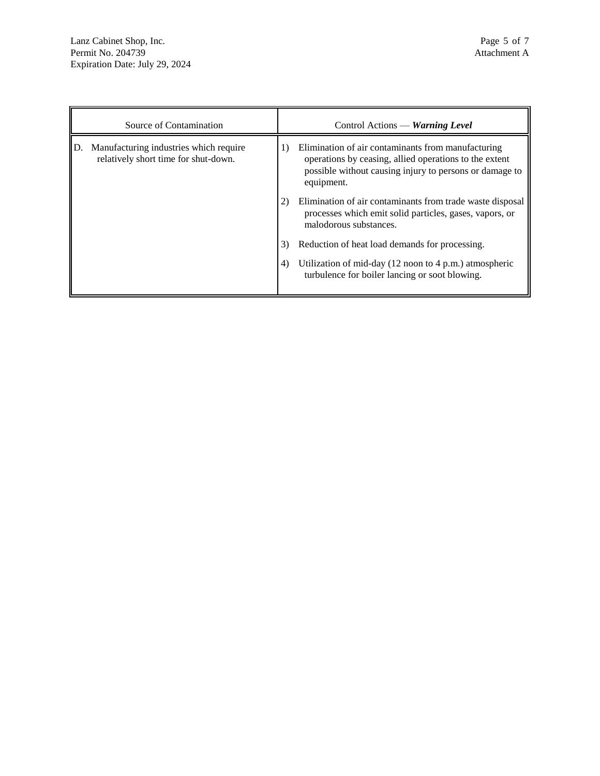| Source of Contamination                                                        |    | Control Actions — Warning Level                                                                                                                                                       |
|--------------------------------------------------------------------------------|----|---------------------------------------------------------------------------------------------------------------------------------------------------------------------------------------|
| Manufacturing industries which require<br>relatively short time for shut-down. | 1) | Elimination of air contaminants from manufacturing<br>operations by ceasing, allied operations to the extent<br>possible without causing injury to persons or damage to<br>equipment. |
|                                                                                | 2) | Elimination of air contaminants from trade waste disposal<br>processes which emit solid particles, gases, vapors, or<br>malodorous substances.                                        |
|                                                                                | 3) | Reduction of heat load demands for processing.                                                                                                                                        |
|                                                                                | 4) | Utilization of mid-day $(12 \text{ noon to } 4 \text{ p.m.})$ atmospheric<br>turbulence for boiler lancing or soot blowing.                                                           |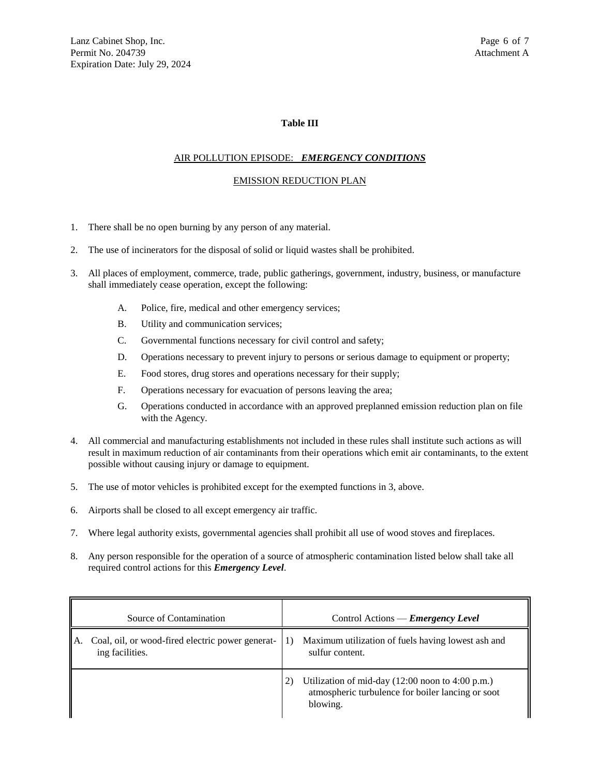### **Table III**

### AIR POLLUTION EPISODE: *EMERGENCY CONDITIONS*

#### EMISSION REDUCTION PLAN

- 1. There shall be no open burning by any person of any material.
- 2. The use of incinerators for the disposal of solid or liquid wastes shall be prohibited.
- 3. All places of employment, commerce, trade, public gatherings, government, industry, business, or manufacture shall immediately cease operation, except the following:
	- A. Police, fire, medical and other emergency services;
	- B. Utility and communication services;
	- C. Governmental functions necessary for civil control and safety;
	- D. Operations necessary to prevent injury to persons or serious damage to equipment or property;
	- E. Food stores, drug stores and operations necessary for their supply;
	- F. Operations necessary for evacuation of persons leaving the area;
	- G. Operations conducted in accordance with an approved preplanned emission reduction plan on file with the Agency.
- 4. All commercial and manufacturing establishments not included in these rules shall institute such actions as will result in maximum reduction of air contaminants from their operations which emit air contaminants, to the extent possible without causing injury or damage to equipment.
- 5. The use of motor vehicles is prohibited except for the exempted functions in 3, above.
- 6. Airports shall be closed to all except emergency air traffic.
- 7. Where legal authority exists, governmental agencies shall prohibit all use of wood stoves and fireplaces.
- 8. Any person responsible for the operation of a source of atmospheric contamination listed below shall take all required control actions for this *Emergency Level*.

| Source of Contamination                                                   | Control Actions — <b><i>Emergency Level</i></b>                                                                                            |
|---------------------------------------------------------------------------|--------------------------------------------------------------------------------------------------------------------------------------------|
| Coal, oil, or wood-fired electric power generat-<br>A.<br>ing facilities. | Maximum utilization of fuels having lowest ash and<br>$_{1}$<br>sulfur content.                                                            |
|                                                                           | Utilization of mid-day $(12:00 \text{ noon to } 4:00 \text{ p.m.})$<br>2)<br>atmospheric turbulence for boiler lancing or soot<br>blowing. |